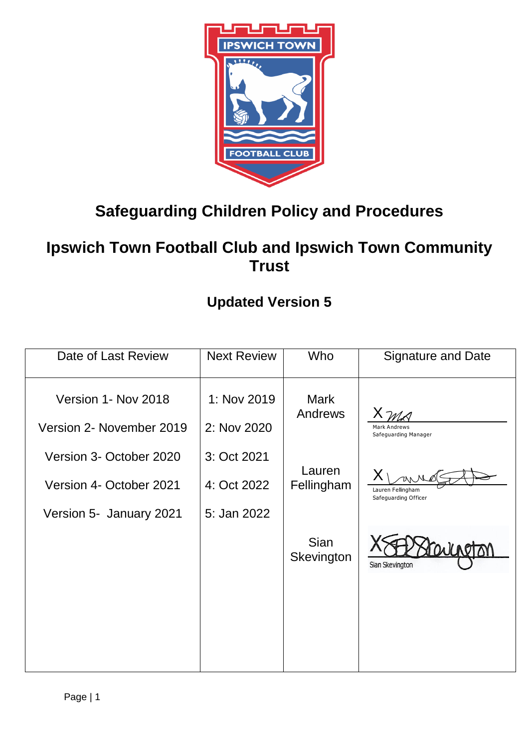

# **Safeguarding Children Policy and Procedures**

## **Ipswich Town Football Club and Ipswich Town Community Trust**

## **Updated Version 5**

| Date of Last Review      | <b>Next Review</b> | Who                       | <b>Signature and Date</b>                   |
|--------------------------|--------------------|---------------------------|---------------------------------------------|
| Version 1- Nov 2018      | 1: Nov 2019        | <b>Mark</b><br>Andrews    |                                             |
| Version 2- November 2019 | 2: Nov 2020        |                           | <b>Mark Andrews</b><br>Safeguarding Manager |
| Version 3- October 2020  | 3: Oct 2021        | Lauren                    |                                             |
| Version 4- October 2021  | 4: Oct 2022        | Fellingham                | Lauren Fellingham<br>Safeguarding Officer   |
| Version 5- January 2021  | 5: Jan 2022        |                           |                                             |
|                          |                    | <b>Sian</b><br>Skevington | Sian Skevington                             |
|                          |                    |                           |                                             |
|                          |                    |                           |                                             |
|                          |                    |                           |                                             |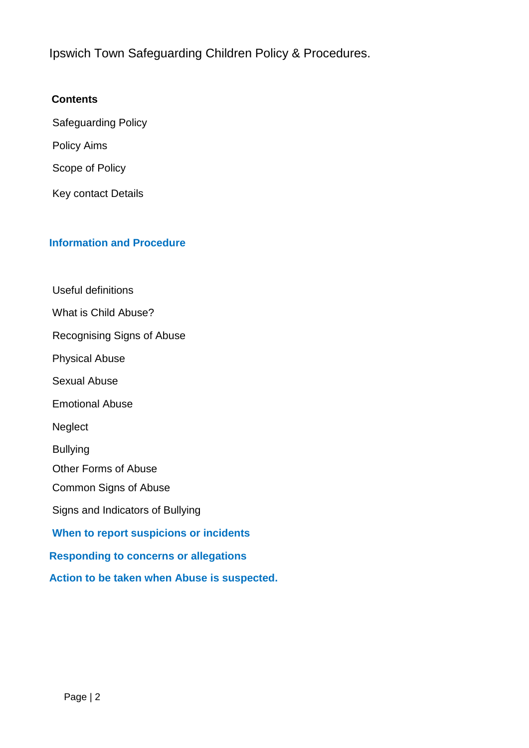Ipswich Town Safeguarding Children Policy & Procedures.

## **Contents**

Safeguarding Policy Policy Aims Scope of Policy

Key contact Details

## **Information and Procedure**

Useful definitions What is Child Abuse? Recognising Signs of Abuse Physical Abuse Sexual Abuse Emotional Abuse **Neglect** Bullying Other Forms of Abuse Common Signs of Abuse Signs and Indicators of Bullying **When to report suspicions or incidents Responding to concerns or allegations Action to be taken when Abuse is suspected.**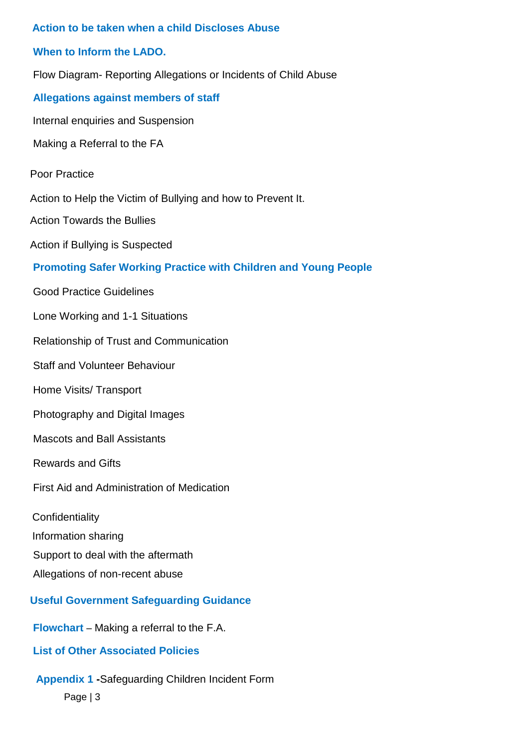# **Action to be taken when a child Discloses Abuse When to Inform the LADO.** Flow Diagram- Reporting Allegations or Incidents of Child Abuse **Allegations against members of staff** Internal enquiries and Suspension Making a Referral to the FA Poor Practice Action to Help the Victim of Bullying and how to Prevent It. Action Towards the Bullies Action if Bullying is Suspected **Promoting Safer Working Practice with Children and Young People** Good Practice Guidelines Lone Working and 1-1 Situations Relationship of Trust and Communication Staff and Volunteer Behaviour Home Visits/ Transport Photography and Digital Images Mascots and Ball Assistants Rewards and Gifts First Aid and Administration of Medication **Confidentiality** Information sharing Support to deal with the aftermath Allegations of non-recent abuse **Useful Government Safeguarding Guidance Flowchart** – Making a referral to the F.A. **List of Other Associated Policies**

# **Appendix 1 -**Safeguarding Children Incident Form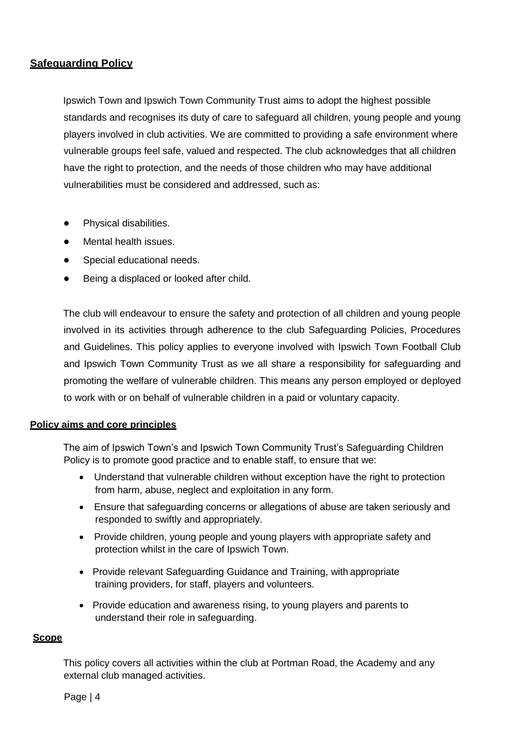#### **Safeguarding Policy**

Ipswich Town and Ipswich Town Community Trust aims to adopt the highest possible standards and recognises its duty of care to safeguard all children, young people and young players involved in club activities. We are committed to providing a safe environment where vulnerable groups feel safe, valued and respected. The club acknowledges that all children have the right to protection, and the needs of those children who may have additional vulnerabilities must be considered and addressed, such as:

- Physical disabilities.
- **Mental health issues.**
- Special educational needs.
- Being a displaced or looked after child.

The club will endeavour to ensure the safety and protection of all children and young people involved in its activities through adherence to the club Safeguarding Policies, Procedures and Guidelines. This policy applies to everyone involved with Ipswich Town Football Club and Ipswich Town Community Trust as we all share a responsibility for safeguarding and promoting the welfare of vulnerable children. This means any person employed or deployed to work with or on behalf of vulnerable children in a paid or voluntary capacity.

#### **Policy aims and core principles**

The aim of Ipswich Town's and Ipswich Town Community Trust's Safeguarding Children Policy is to promote good practice and to enable staff, to ensure that we:

- Understand that vulnerable children without exception have the right to protection from harm, abuse, neglect and exploitation in any form.
- Ensure that safeguarding concerns or allegations of abuse are taken seriously and responded to swiftly and appropriately.
- Provide children, young people and young players with appropriate safety and protection whilst in the care of Ipswich Town.
- Provide relevant Safeguarding Guidance and Training, with appropriate training providers, for staff, players and volunteers.
- Provide education and awareness rising, to young players and parents to understand their role in safeguarding.

#### **Scope**

This policy covers all activities within the club at Portman Road, the Academy and any external club managed activities.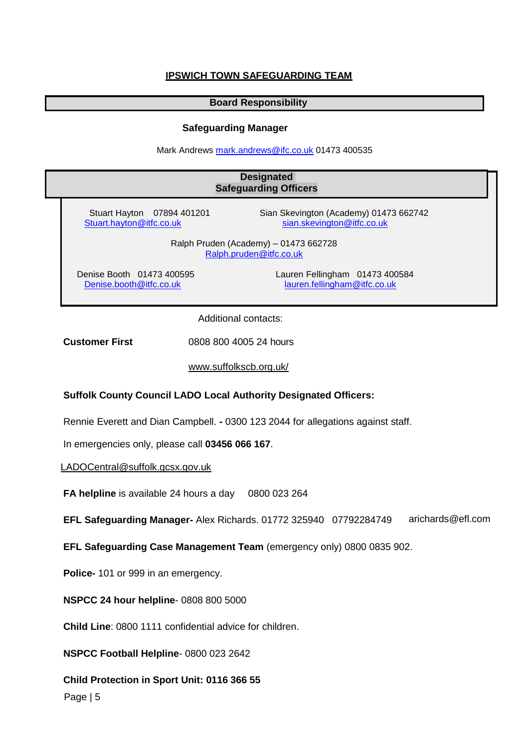#### **IPSWICH TOWN SAFEGUARDING TEAM**

#### **Board Responsibility**

#### **Safeguarding Manager**

Mark Andrews [mark.andrews@ifc.co.uk](mailto:mark.andrews@ifc.co.uk) 01473 400535

## Stuart Hayton 07894 401201 Sian Skevington (Academy) 01473 662742<br>Sian Skevington @itfc.co.uk stan.skevington @itfc.co.uk Stuart.hayton@itfc.co.uk Ralph Pruden (Academy) – 01473 662728 [Ralph.pruden@itfc.co.uk](mailto:Ralph.pruden@itfc.co.uk) Denise Booth 01473 400595 Lauren Fellingham 01473 400584 [Denise.booth@itfc.co.uk](mailto:Denise.booth@itfc.co.uk) [lauren.fellingham@itfc.co.uk](mailto:lauren.fellingham@itfc.co.uk)  Additional contacts: **Designated Safeguarding Officers**

**Customer First** 0808 800 4005 24 hours

[www.suffolkscb.org.uk/](http://www.suffolkscb.org.uk/)

#### **Suffolk County Council LADO Local Authority Designated Officers:**

Rennie Everett and Dian Campbell. **-** 0300 123 2044 for allegations against staff.

In emergencies only, please call **03456 066 167**.

[LADOCentral@suffolk.gcsx.gov.uk](mailto:LADOCentral@suffolk.gcsx.gov.uk)

**FA helpline** is available 24 hours a day 0800 023 264

**EFL Safeguarding Manager-** Alex Richards. 01772 325940 07792284749 arichards@efl.com

**EFL Safeguarding Case Management Team** (emergency only) 0800 0835 902.

**Police-** 101 or 999 in an emergency.

**NSPCC 24 hour helpline**- 0808 800 5000

**Child Line**: 0800 1111 confidential advice for children.

**NSPCC Football Helpline**- 0800 023 2642

**Child Protection in Sport Unit: 0116 366 55**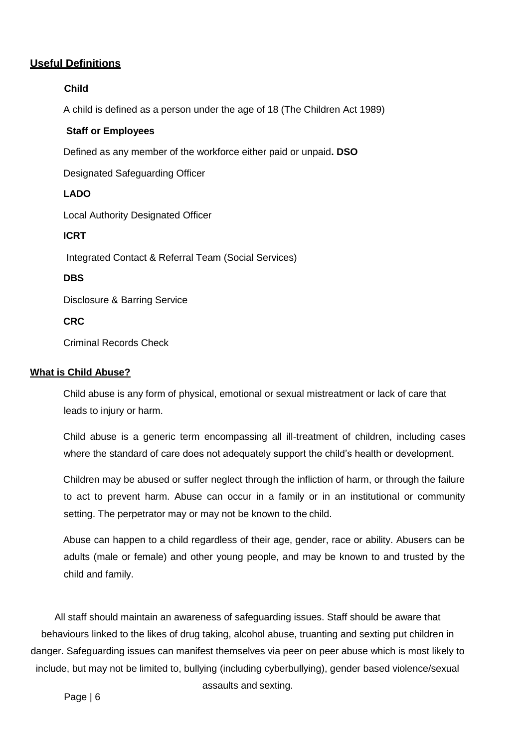## **Useful Definitions**

#### **Child**

A child is defined as a person under the age of 18 (The Children Act 1989)

#### **Staff or Employees**

Defined as any member of the workforce either paid or unpaid**. DSO**

Designated Safeguarding Officer

#### **LADO**

Local Authority Designated Officer

#### **ICRT**

Integrated Contact & Referral Team (Social Services)

#### **DBS**

Disclosure & Barring Service

#### **CRC**

Criminal Records Check

#### **What is Child Abuse?**

Child abuse is any form of physical, emotional or sexual mistreatment or lack of care that leads to injury or harm.

Child abuse is a generic term encompassing all ill-treatment of children, including cases where the standard of care does not adequately support the child's health or development.

Children may be abused or suffer neglect through the infliction of harm, or through the failure to act to prevent harm. Abuse can occur in a family or in an institutional or community setting. The perpetrator may or may not be known to the child.

Abuse can happen to a child regardless of their age, gender, race or ability. Abusers can be adults (male or female) and other young people, and may be known to and trusted by the child and family.

All staff should maintain an awareness of safeguarding issues. Staff should be aware that behaviours linked to the likes of drug taking, alcohol abuse, truanting and sexting put children in danger. Safeguarding issues can manifest themselves via peer on peer abuse which is most likely to include, but may not be limited to, bullying (including cyberbullying), gender based violence/sexual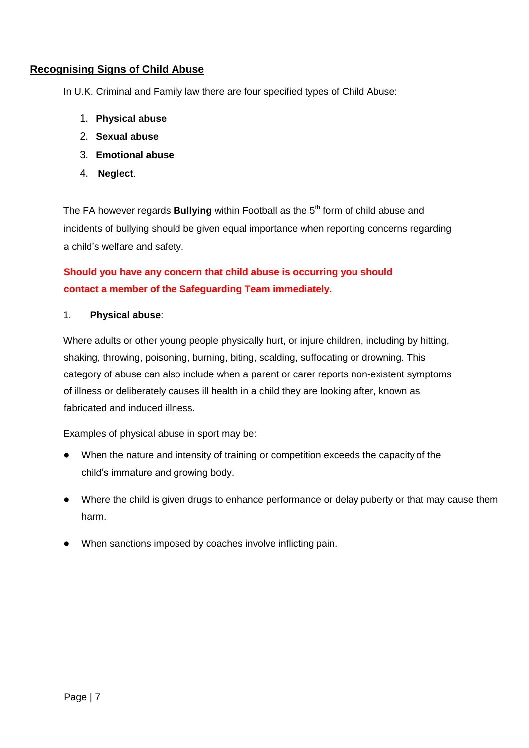## **Recognising Signs of Child Abuse**

In U.K. Criminal and Family law there are four specified types of Child Abuse:

- 1. **Physical abuse**
- 2. **Sexual abuse**
- 3. **Emotional abuse**
- 4. **Neglect**.

The FA however regards **Bullying** within Football as the 5<sup>th</sup> form of child abuse and incidents of bullying should be given equal importance when reporting concerns regarding a child's welfare and safety.

## **Should you have any concern that child abuse is occurring you should contact a member of the Safeguarding Team immediately.**

#### 1. **Physical abuse**:

Where adults or other young people physically hurt, or injure children, including by hitting, shaking, throwing, poisoning, burning, biting, scalding, suffocating or drowning. This category of abuse can also include when a parent or carer reports non-existent symptoms of illness or deliberately causes ill health in a child they are looking after, known as fabricated and induced illness.

Examples of physical abuse in sport may be:

- When the nature and intensity of training or competition exceeds the capacity of the child's immature and growing body.
- Where the child is given drugs to enhance performance or delay puberty or that may cause them harm.
- When sanctions imposed by coaches involve inflicting pain.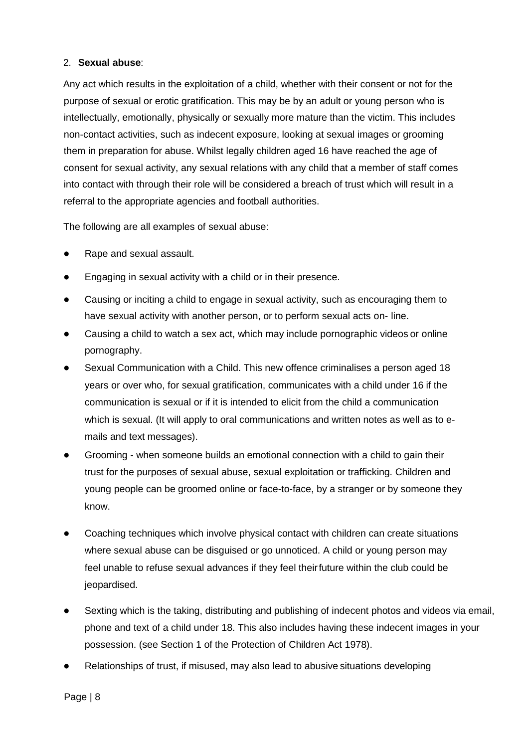#### 2. **Sexual abuse**:

Any act which results in the exploitation of a child, whether with their consent or not for the purpose of sexual or erotic gratification. This may be by an adult or young person who is intellectually, emotionally, physically or sexually more mature than the victim. This includes non-contact activities, such as indecent exposure, looking at sexual images or grooming them in preparation for abuse. Whilst legally children aged 16 have reached the age of consent for sexual activity, any sexual relations with any child that a member of staff comes into contact with through their role will be considered a breach of trust which will result in a referral to the appropriate agencies and football authorities.

The following are all examples of sexual abuse:

- Rape and sexual assault.
- Engaging in sexual activity with a child or in their presence.
- Causing or inciting a child to engage in sexual activity, such as encouraging them to have sexual activity with another person, or to perform sexual acts on- line.
- Causing a child to watch a sex act, which may include pornographic videos or online pornography.
- Sexual Communication with a Child. This new offence criminalises a person aged 18 years or over who, for sexual gratification, communicates with a child under 16 if the communication is sexual or if it is intended to elicit from the child a communication which is sexual. (It will apply to oral communications and written notes as well as to emails and text messages).
- Grooming when someone builds an emotional connection with a child to gain their trust for the purposes of sexual abuse, sexual exploitation or trafficking. Children and young people can be groomed online or face-to-face, by a stranger or by someone they know.
- Coaching techniques which involve physical contact with children can create situations where sexual abuse can be disguised or go unnoticed. A child or young person may feel unable to refuse sexual advances if they feel theirfuture within the club could be jeopardised.
- Sexting which is the taking, distributing and publishing of indecent photos and videos via email, phone and text of a child under 18. This also includes having these indecent images in your possession. (see Section 1 of the Protection of Children Act 1978).
- Relationships of trust, if misused, may also lead to abusive situations developing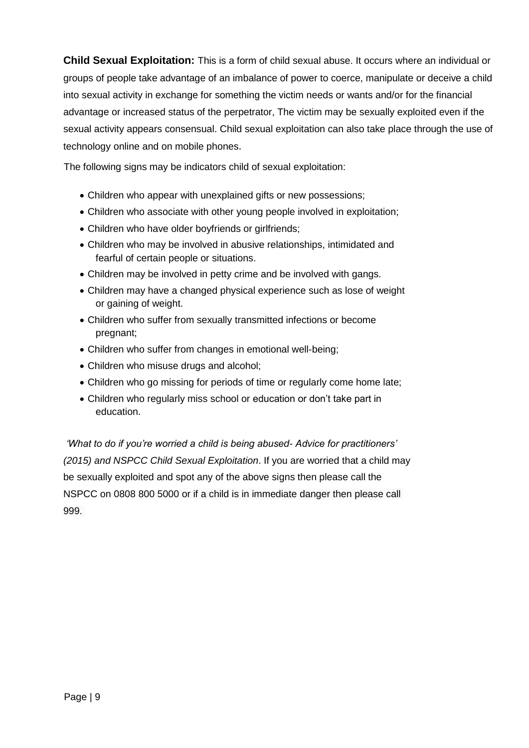**Child Sexual Exploitation:** This is a form of child sexual abuse. It occurs where an individual or groups of people take advantage of an imbalance of power to coerce, manipulate or deceive a child into sexual activity in exchange for something the victim needs or wants and/or for the financial advantage or increased status of the perpetrator, The victim may be sexually exploited even if the sexual activity appears consensual. Child sexual exploitation can also take place through the use of technology online and on mobile phones.

The following signs may be indicators child of sexual exploitation:

- Children who appear with unexplained gifts or new possessions;
- Children who associate with other young people involved in exploitation;
- Children who have older boyfriends or girlfriends;
- Children who may be involved in abusive relationships, intimidated and fearful of certain people or situations.
- Children may be involved in petty crime and be involved with gangs.
- Children may have a changed physical experience such as lose of weight or gaining of weight.
- Children who suffer from sexually transmitted infections or become pregnant;
- Children who suffer from changes in emotional well-being;
- Children who misuse drugs and alcohol;
- Children who go missing for periods of time or regularly come home late;
- Children who regularly miss school or education or don't take part in education.

*'What to do if you're worried a child is being abused- Advice for practitioners' (2015) and NSPCC Child Sexual Exploitation*. If you are worried that a child may be sexually exploited and spot any of the above signs then please call the NSPCC on [0808 800 5000](tel:0808%20800%205000) or if a child is in immediate danger then please call 999.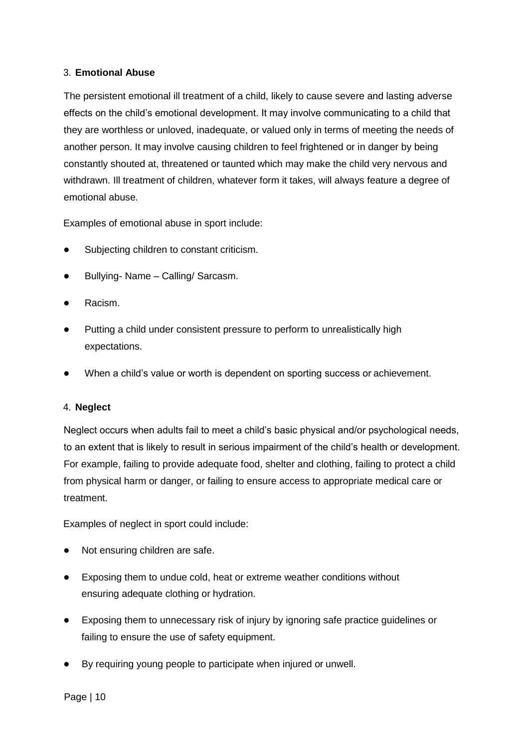#### 3. **Emotional Abuse**

The persistent emotional ill treatment of a child, likely to cause severe and lasting adverse effects on the child's emotional development. It may involve communicating to a child that they are worthless or unloved, inadequate, or valued only in terms of meeting the needs of another person. It may involve causing children to feel frightened or in danger by being constantly shouted at, threatened or taunted which may make the child very nervous and withdrawn. Ill treatment of children, whatever form it takes, will always feature a degree of emotional abuse.

Examples of emotional abuse in sport include:

- Subjecting children to constant criticism.
- Bullying- Name Calling/ Sarcasm.
- Racism.
- Putting a child under consistent pressure to perform to unrealistically high expectations.
- When a child's value or worth is dependent on sporting success or achievement.

#### 4. **Neglect**

Neglect occurs when adults fail to meet a child's basic physical and/or psychological needs, to an extent that is likely to result in serious impairment of the child's health or development. For example, failing to provide adequate food, shelter and clothing, failing to protect a child from physical harm or danger, or failing to ensure access to appropriate medical care or treatment.

Examples of neglect in sport could include:

- Not ensuring children are safe.
- Exposing them to undue cold, heat or extreme weather conditions without ensuring adequate clothing or hydration.
- Exposing them to unnecessary risk of injury by ignoring safe practice guidelines or failing to ensure the use of safety equipment.
- By requiring young people to participate when injured or unwell.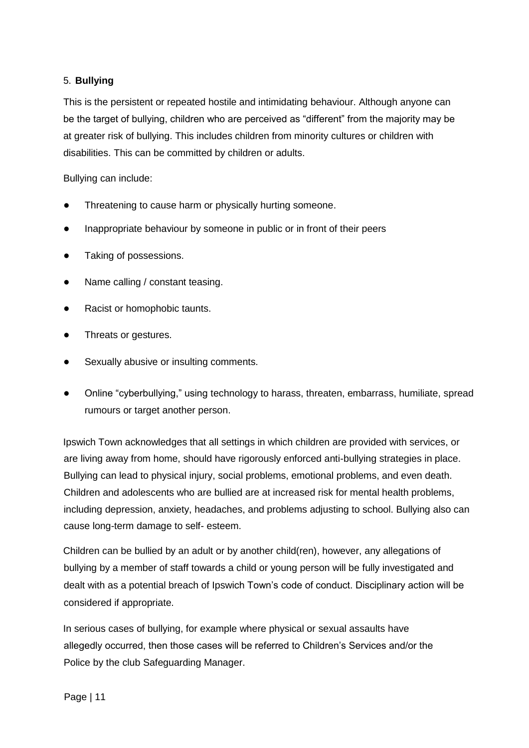#### 5. **Bullying**

This is the persistent or repeated hostile and intimidating behaviour. Although anyone can be the target of bullying, children who are perceived as "different" from the majority may be at greater risk of bullying. This includes children from minority cultures or children with disabilities. This can be committed by children or adults.

Bullying can include:

- Threatening to cause harm or physically hurting someone.
- Inappropriate behaviour by someone in public or in front of their peers
- Taking of possessions.
- Name calling / constant teasing.
- Racist or homophobic taunts.
- Threats or gestures.
- Sexually abusive or insulting comments.
- Online "cyberbullying," using technology to harass, threaten, embarrass, humiliate, spread rumours or target another person.

Ipswich Town acknowledges that all settings in which children are provided with services, or are living away from home, should have rigorously enforced anti-bullying strategies in place. Bullying can lead to physical injury, social problems, emotional problems, and even death. Children and adolescents who are bullied are at increased risk for mental health problems, including depression, anxiety, headaches, and problems adjusting to school. Bullying also can cause long-term damage to self- esteem.

Children can be bullied by an adult or by another child(ren), however, any allegations of bullying by a member of staff towards a child or young person will be fully investigated and dealt with as a potential breach of Ipswich Town's code of conduct. Disciplinary action will be considered if appropriate.

In serious cases of bullying, for example where physical or sexual assaults have allegedly occurred, then those cases will be referred to Children's Services and/or the Police by the club Safeguarding Manager.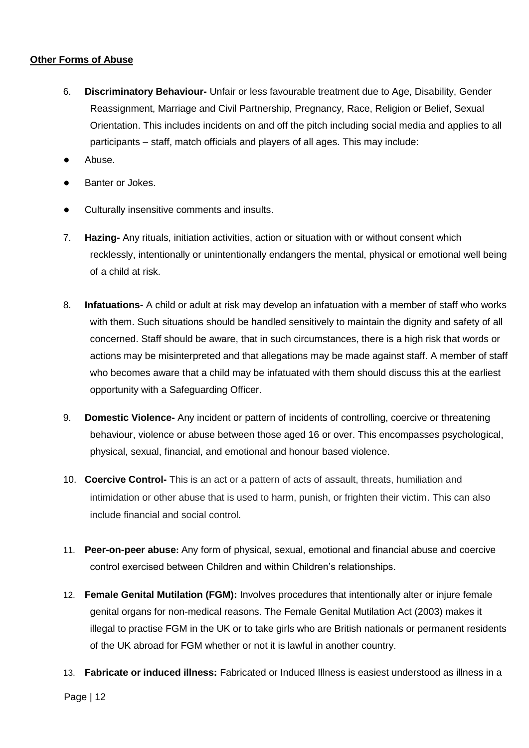#### **Other Forms of Abuse**

- 6. **Discriminatory Behaviour-** Unfair or less favourable treatment due to Age, Disability, Gender Reassignment, Marriage and Civil Partnership, Pregnancy, Race, Religion or Belief, Sexual Orientation. This includes incidents on and off the pitch including social media and applies to all participants – staff, match officials and players of all ages. This may include:
- Abuse.
- Banter or Jokes.
- Culturally insensitive comments and insults.
- 7. **Hazing-** Any rituals, initiation activities, action or situation with or without consent which recklessly, intentionally or unintentionally endangers the mental, physical or emotional well being of a child at risk.
- 8. **Infatuations-** A child or adult at risk may develop an infatuation with a member of staff who works with them. Such situations should be handled sensitively to maintain the dignity and safety of all concerned. Staff should be aware, that in such circumstances, there is a high risk that words or actions may be misinterpreted and that allegations may be made against staff. A member of staff who becomes aware that a child may be infatuated with them should discuss this at the earliest opportunity with a Safeguarding Officer.
- 9. **Domestic Violence-** Any incident or pattern of incidents of controlling, coercive or threatening behaviour, violence or abuse between those aged 16 or over. This encompasses psychological, physical, sexual, financial, and emotional and honour based violence.
- 10. **Coercive Control-** This is an act or a pattern of acts of assault, threats, humiliation and intimidation or other abuse that is used to harm, punish, or frighten their victim. This can also include financial and social control.
- 11. **Peer-on-peer abuse:** Any form of physical, sexual, emotional and financial abuse and coercive control exercised between Children and within Children's relationships.
- 12. **Female Genital Mutilation (FGM):** Involves procedures that intentionally alter or injure female genital organs for non-medical reasons. The Female Genital Mutilation Act (2003) makes it illegal to practise FGM in the UK or to take girls who are British nationals or permanent residents of the UK abroad for FGM whether or not it is lawful in another country.
- 13. **Fabricate or induced illness:** Fabricated or Induced Illness is easiest understood as illness in a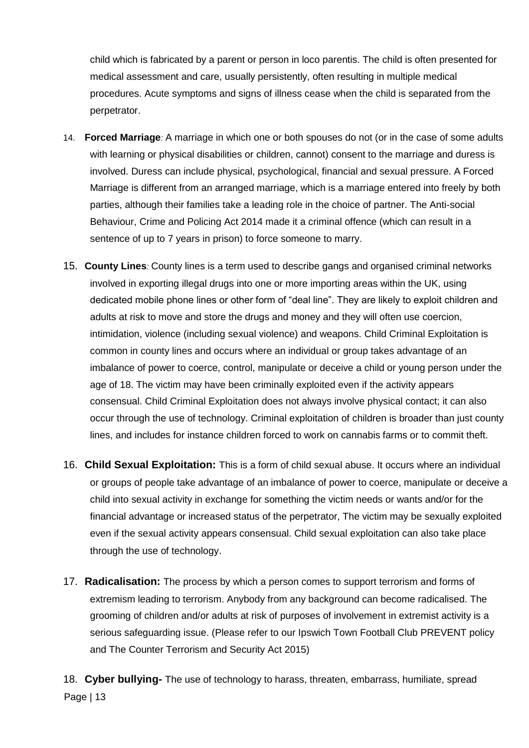child which is fabricated by a parent or person in loco parentis. The child is often presented for medical assessment and care, usually persistently, often resulting in multiple medical procedures. Acute symptoms and signs of illness cease when the child is separated from the perpetrator.

- 14. **Forced Marriage***:* A marriage in which one or both spouses do not (or in the case of some adults with learning or physical disabilities or children, cannot) consent to the marriage and duress is involved. Duress can include physical, psychological, financial and sexual pressure. A Forced Marriage is different from an arranged marriage, which is a marriage entered into freely by both parties, although their families take a leading role in the choice of partner. The Anti-social Behaviour, Crime and Policing Act 2014 made it a criminal offence (which can result in a sentence of up to 7 years in prison) to force someone to marry.
- 15. **County Lines***:* County lines is a term used to describe gangs and organised criminal networks involved in exporting illegal drugs into one or more importing areas within the UK, using dedicated mobile phone lines or other form of "deal line". They are likely to exploit children and adults at risk to move and store the drugs and money and they will often use coercion, intimidation, violence (including sexual violence) and weapons. Child Criminal Exploitation is common in county lines and occurs where an individual or group takes advantage of an imbalance of power to coerce, control, manipulate or deceive a child or young person under the age of 18. The victim may have been criminally exploited even if the activity appears consensual. Child Criminal Exploitation does not always involve physical contact; it can also occur through the use of technology. Criminal exploitation of children is broader than just county lines, and includes for instance children forced to work on cannabis farms or to commit theft.
- 16. **Child Sexual Exploitation:** This is a form of child sexual abuse. It occurs where an individual or groups of people take advantage of an imbalance of power to coerce, manipulate or deceive a child into sexual activity in exchange for something the victim needs or wants and/or for the financial advantage or increased status of the perpetrator, The victim may be sexually exploited even if the sexual activity appears consensual. Child sexual exploitation can also take place through the use of technology.
- 17. **Radicalisation:** The process by which a person comes to support terrorism and forms of extremism leading to terrorism. Anybody from any background can become radicalised. The grooming of children and/or adults at risk of purposes of involvement in extremist activity is a serious safeguarding issue. (Please refer to our Ipswich Town Football Club PREVENT policy and The Counter Terrorism and Security Act 2015)

Page | 13 18. **Cyber bullying-** The use of technology to harass, threaten, embarrass, humiliate, spread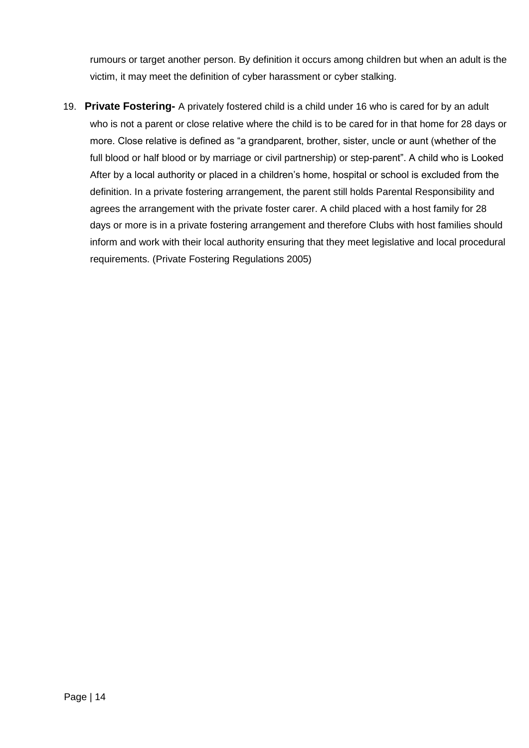rumours or target another person. By definition it occurs among children but when an adult is the victim, it may meet the definition of cyber harassment or cyber stalking.

19. **Private Fostering-** A privately fostered child is a child under 16 who is cared for by an adult who is not a parent or close relative where the child is to be cared for in that home for 28 days or more. Close relative is defined as "a grandparent, brother, sister, uncle or aunt (whether of the full blood or half blood or by marriage or civil partnership) or step-parent". A child who is Looked After by a local authority or placed in a children's home, hospital or school is excluded from the definition. In a private fostering arrangement, the parent still holds Parental Responsibility and agrees the arrangement with the private foster carer. A child placed with a host family for 28 days or more is in a private fostering arrangement and therefore Clubs with host families should inform and work with their local authority ensuring that they meet legislative and local procedural requirements. (Private Fostering Regulations 2005)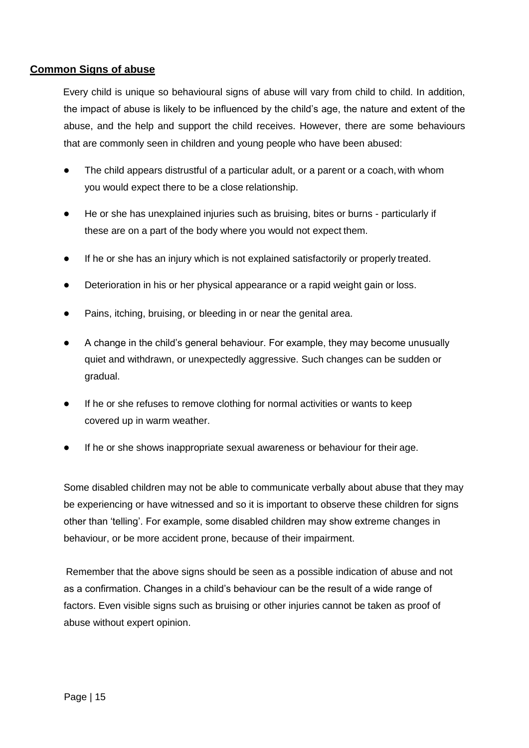## **Common Signs of abuse**

Every child is unique so behavioural signs of abuse will vary from child to child. In addition, the impact of abuse is likely to be influenced by the child's age, the nature and extent of the abuse, and the help and support the child receives. However, there are some behaviours that are commonly seen in children and young people who have been abused:

- The child appears distrustful of a particular adult, or a parent or a coach, with whom you would expect there to be a close relationship.
- He or she has unexplained injuries such as bruising, bites or burns particularly if these are on a part of the body where you would not expect them.
- If he or she has an injury which is not explained satisfactorily or properly treated.
- Deterioration in his or her physical appearance or a rapid weight gain or loss.
- Pains, itching, bruising, or bleeding in or near the genital area.
- A change in the child's general behaviour. For example, they may become unusually quiet and withdrawn, or unexpectedly aggressive. Such changes can be sudden or gradual.
- If he or she refuses to remove clothing for normal activities or wants to keep covered up in warm weather.
- If he or she shows inappropriate sexual awareness or behaviour for their age.

Some disabled children may not be able to communicate verbally about abuse that they may be experiencing or have witnessed and so it is important to observe these children for signs other than 'telling'. For example, some disabled children may show extreme changes in behaviour, or be more accident prone, because of their impairment.

Remember that the above signs should be seen as a possible indication of abuse and not as a confirmation. Changes in a child's behaviour can be the result of a wide range of factors. Even visible signs such as bruising or other injuries cannot be taken as proof of abuse without expert opinion.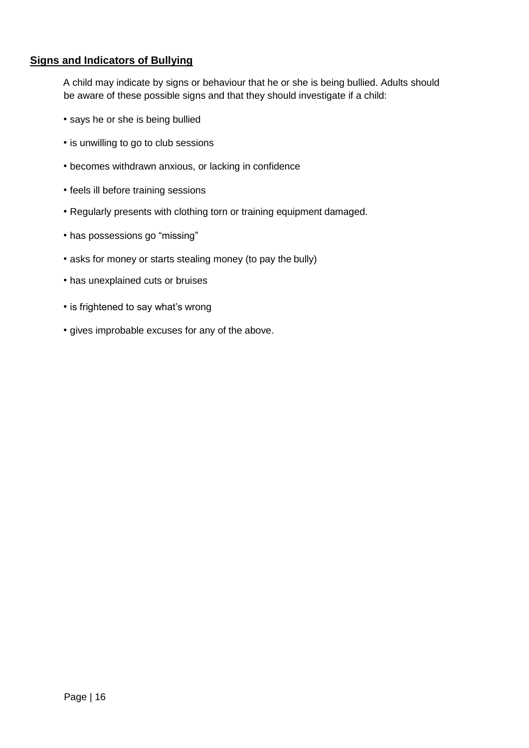## **Signs and Indicators of Bullying**

A child may indicate by signs or behaviour that he or she is being bullied. Adults should be aware of these possible signs and that they should investigate if a child:

- says he or she is being bullied
- is unwilling to go to club sessions
- becomes withdrawn anxious, or lacking in confidence
- feels ill before training sessions
- Regularly presents with clothing torn or training equipment damaged.
- has possessions go "missing"
- asks for money or starts stealing money (to pay the bully)
- has unexplained cuts or bruises
- is frightened to say what's wrong
- gives improbable excuses for any of the above.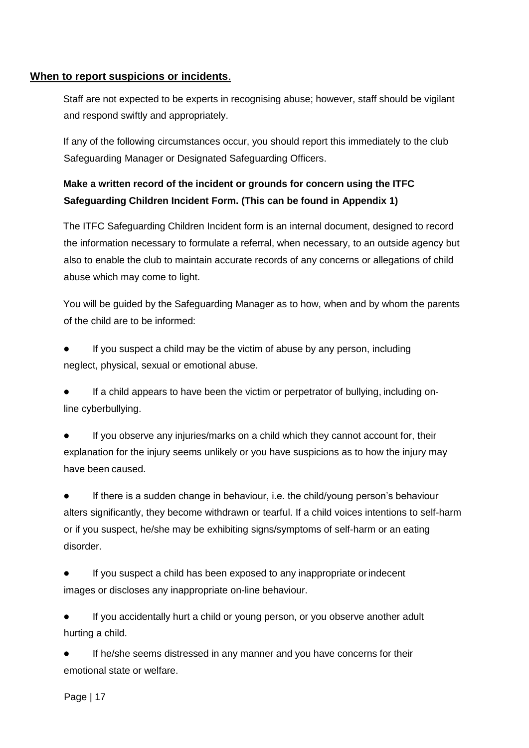#### **When to report suspicions or incidents**.

Staff are not expected to be experts in recognising abuse; however, staff should be vigilant and respond swiftly and appropriately.

If any of the following circumstances occur, you should report this immediately to the club Safeguarding Manager or Designated Safeguarding Officers.

## **Make a written record of the incident or grounds for concern using the ITFC Safeguarding Children Incident Form. (This can be found in Appendix 1)**

The ITFC Safeguarding Children Incident form is an internal document, designed to record the information necessary to formulate a referral, when necessary, to an outside agency but also to enable the club to maintain accurate records of any concerns or allegations of child abuse which may come to light.

You will be guided by the Safeguarding Manager as to how, when and by whom the parents of the child are to be informed:

If you suspect a child may be the victim of abuse by any person, including neglect, physical, sexual or emotional abuse.

If a child appears to have been the victim or perpetrator of bullying, including online cyberbullying.

If you observe any injuries/marks on a child which they cannot account for, their explanation for the injury seems unlikely or you have suspicions as to how the injury may have been caused.

● If there is a sudden change in behaviour, i.e. the child/young person's behaviour alters significantly, they become withdrawn or tearful. If a child voices intentions to self-harm or if you suspect, he/she may be exhibiting signs/symptoms of self-harm or an eating disorder.

If you suspect a child has been exposed to any inappropriate or indecent images or discloses any inappropriate on-line behaviour.

If you accidentally hurt a child or young person, or you observe another adult hurting a child.

If he/she seems distressed in any manner and you have concerns for their emotional state or welfare.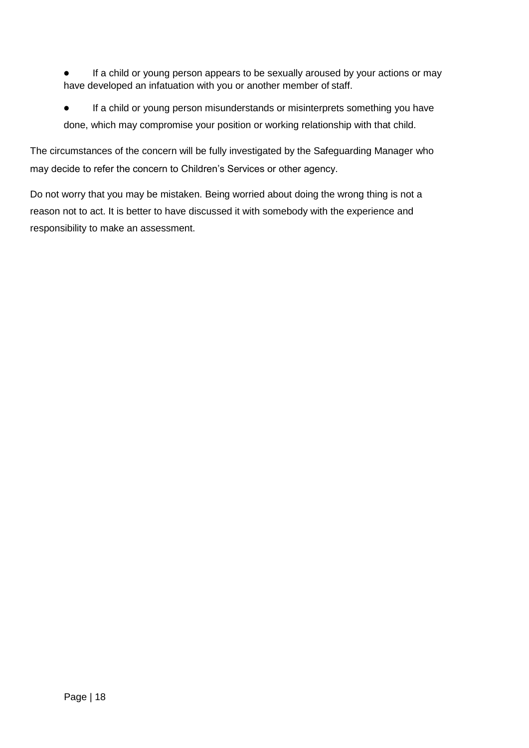- If a child or young person appears to be sexually aroused by your actions or may have developed an infatuation with you or another member of staff.
- If a child or young person misunderstands or misinterprets something you have done, which may compromise your position or working relationship with that child.

The circumstances of the concern will be fully investigated by the Safeguarding Manager who may decide to refer the concern to Children's Services or other agency.

Do not worry that you may be mistaken. Being worried about doing the wrong thing is not a reason not to act. It is better to have discussed it with somebody with the experience and responsibility to make an assessment.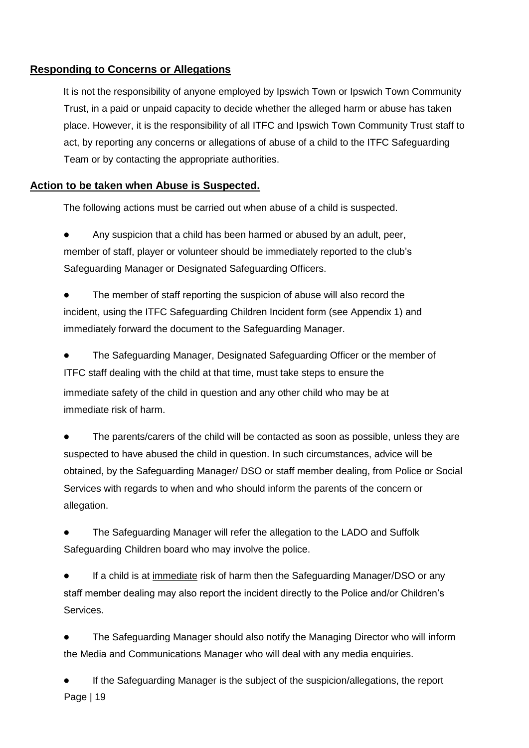## **Responding to Concerns or Allegations**

It is not the responsibility of anyone employed by Ipswich Town or Ipswich Town Community Trust, in a paid or unpaid capacity to decide whether the alleged harm or abuse has taken place. However, it is the responsibility of all ITFC and Ipswich Town Community Trust staff to act, by reporting any concerns or allegations of abuse of a child to the ITFC Safeguarding Team or by contacting the appropriate authorities.

## **Action to be taken when Abuse is Suspected.**

The following actions must be carried out when abuse of a child is suspected.

Any suspicion that a child has been harmed or abused by an adult, peer, member of staff, player or volunteer should be immediately reported to the club's Safeguarding Manager or Designated Safeguarding Officers.

The member of staff reporting the suspicion of abuse will also record the incident, using the ITFC Safeguarding Children Incident form (see Appendix 1) and immediately forward the document to the Safeguarding Manager.

The Safeguarding Manager, Designated Safeguarding Officer or the member of ITFC staff dealing with the child at that time, must take steps to ensure the immediate safety of the child in question and any other child who may be at immediate risk of harm.

The parents/carers of the child will be contacted as soon as possible, unless they are suspected to have abused the child in question. In such circumstances, advice will be obtained, by the Safeguarding Manager/ DSO or staff member dealing, from Police or Social Services with regards to when and who should inform the parents of the concern or allegation.

The Safeguarding Manager will refer the allegation to the LADO and Suffolk Safeguarding Children board who may involve the police.

If a child is at *immediate* risk of harm then the Safeguarding Manager/DSO or any staff member dealing may also report the incident directly to the Police and/or Children's Services.

The Safeguarding Manager should also notify the Managing Director who will inform the Media and Communications Manager who will deal with any media enquiries.

Page | 19 If the Safeguarding Manager is the subject of the suspicion/allegations, the report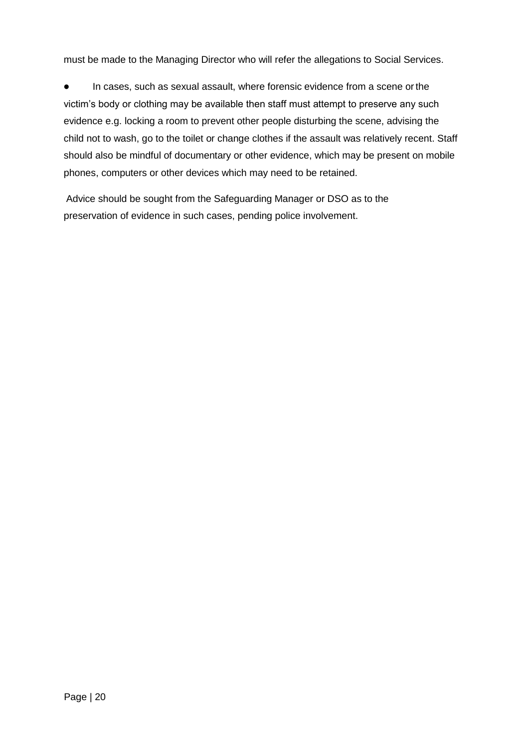must be made to the Managing Director who will refer the allegations to Social Services.

● In cases, such as sexual assault, where forensic evidence from a scene orthe victim's body or clothing may be available then staff must attempt to preserve any such evidence e.g. locking a room to prevent other people disturbing the scene, advising the child not to wash, go to the toilet or change clothes if the assault was relatively recent. Staff should also be mindful of documentary or other evidence, which may be present on mobile phones, computers or other devices which may need to be retained.

Advice should be sought from the Safeguarding Manager or DSO as to the preservation of evidence in such cases, pending police involvement.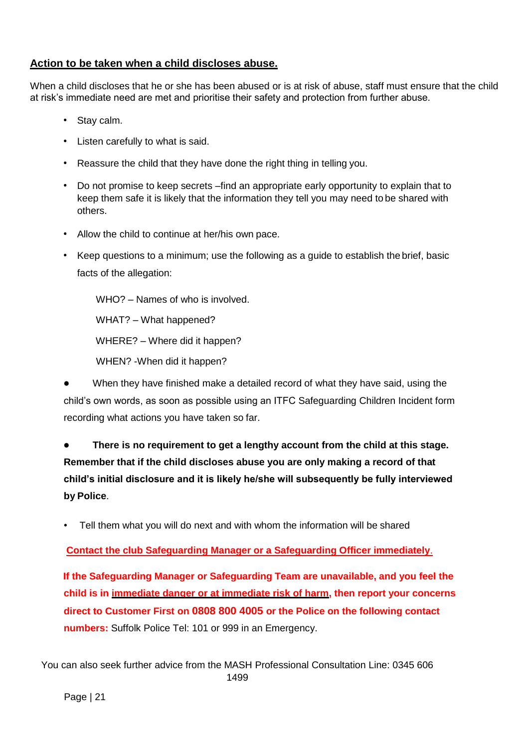## **Action to be taken when a child discloses abuse.**

When a child discloses that he or she has been abused or is at risk of abuse, staff must ensure that the child at risk's immediate need are met and prioritise their safety and protection from further abuse.

- Stay calm.
- Listen carefully to what is said.
- Reassure the child that they have done the right thing in telling you.
- Do not promise to keep secrets –find an appropriate early opportunity to explain that to keep them safe it is likely that the information they tell you may need to be shared with others.
- Allow the child to continue at her/his own pace.
- Keep questions to a minimum; use the following as a guide to establish the brief, basic facts of the allegation:

WHO? – Names of who is involved.

WHAT? – What happened?

WHERE? – Where did it happen?

WHEN? -When did it happen?

When they have finished make a detailed record of what they have said, using the child's own words, as soon as possible using an ITFC Safeguarding Children Incident form recording what actions you have taken so far.

● **There is no requirement to get a lengthy account from the child at this stage. Remember that if the child discloses abuse you are only making a record of that child's initial disclosure and it is likely he/she will subsequently be fully interviewed by Police**.

• Tell them what you will do next and with whom the information will be shared

**Contact the club Safeguarding Manager or a Safeguarding Officer immediately**.

**If the Safeguarding Manager or Safeguarding Team are unavailable, and you feel the child is in immediate danger or at immediate risk of harm, then report your concerns direct to [Customer First o](https://www.suffolk.gov.uk/adult-social-care-and-health/find-social-care-services-and-how-to-contact-customer-first-with-a-question/contact-customer-first-and-social-care/)n 0808 800 4005 or the Police on the following contact numbers:** Suffolk Police Tel: 101 or 999 in an Emergency.

You can also seek further advice from the MASH Professional Consultation Line: 0345 606 1499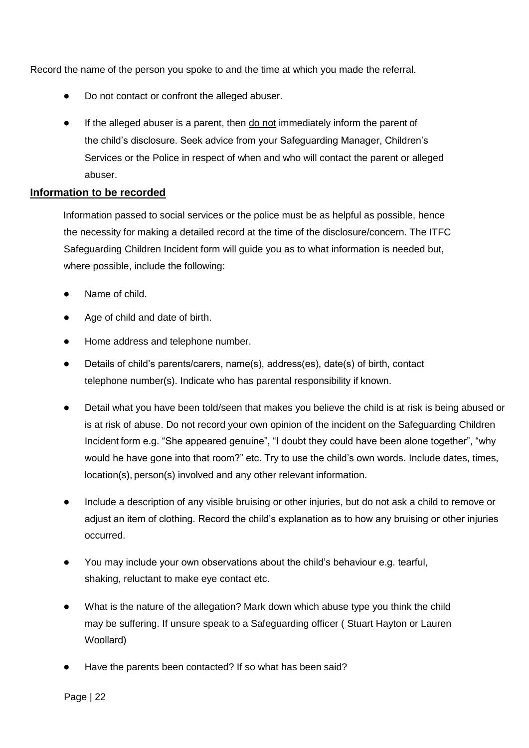Record the name of the person you spoke to and the time at which you made the referral.

- Do not contact or confront the alleged abuser.
- If the alleged abuser is a parent, then do not immediately inform the parent of the child's disclosure. Seek advice from your Safeguarding Manager, Children's Services or the Police in respect of when and who will contact the parent or alleged abuser.

#### **Information to be recorded**

Information passed to social services or the police must be as helpful as possible, hence the necessity for making a detailed record at the time of the disclosure/concern. The ITFC Safeguarding Children Incident form will guide you as to what information is needed but, where possible, include the following:

- Name of child.
- Age of child and date of birth.
- Home address and telephone number.
- Details of child's parents/carers, name(s), address(es), date(s) of birth, contact telephone number(s). Indicate who has parental responsibility if known.
- Detail what you have been told/seen that makes you believe the child is at risk is being abused or is at risk of abuse. Do not record your own opinion of the incident on the Safeguarding Children Incident form e.g. "She appeared genuine", "I doubt they could have been alone together", "why would he have gone into that room?" etc. Try to use the child's own words. Include dates, times, location(s), person(s) involved and any other relevant information.
- Include a description of any visible bruising or other injuries, but do not ask a child to remove or adjust an item of clothing. Record the child's explanation as to how any bruising or other injuries occurred.
- You may include your own observations about the child's behaviour e.g. tearful, shaking, reluctant to make eye contact etc.
- What is the nature of the allegation? Mark down which abuse type you think the child may be suffering. If unsure speak to a Safeguarding officer ( Stuart Hayton or Lauren Woollard)
- Have the parents been contacted? If so what has been said?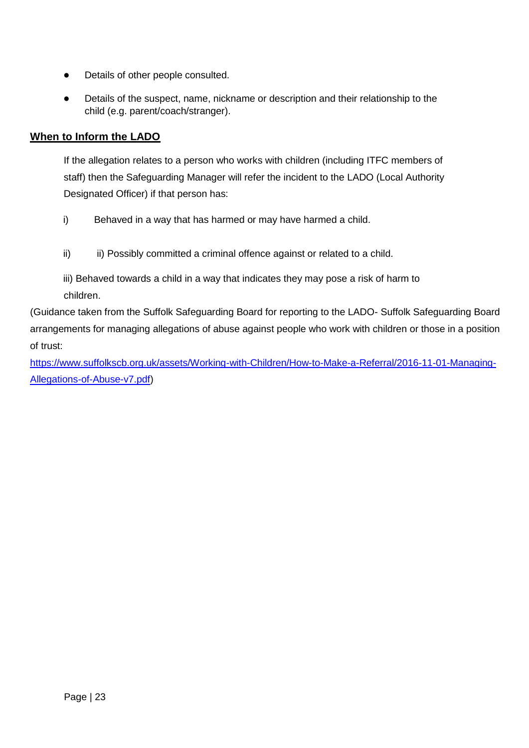- Details of other people consulted.
- Details of the suspect, name, nickname or description and their relationship to the child (e.g. parent/coach/stranger).

## **When to Inform the LADO**

If the allegation relates to a person who works with children (including ITFC members of staff) then the Safeguarding Manager will refer the incident to the LADO (Local Authority Designated Officer) if that person has:

- i) Behaved in a way that has harmed or may have harmed a child.
- ii) ii) Possibly committed a criminal offence against or related to a child.

iii) Behaved towards a child in a way that indicates they may pose a risk of harm to children.

(Guidance taken from the Suffolk Safeguarding Board for reporting to the LADO- Suffolk Safeguarding Board arrangements for managing allegations of abuse against people who work with children or those in a position of trust:

[https://www.suffolkscb.org.uk/assets/Working-with-Children/How-to-Make-a-Referral/2016-11-01-Managing-](https://www.suffolkscb.org.uk/assets/Working-with-Children/How-to-Make-a-Referral/2016-11-01-Managing-Allegations-of-Abuse-v7.pdf)[Allegations-of-Abuse-v7.pdf\)](https://www.suffolkscb.org.uk/assets/Working-with-Children/How-to-Make-a-Referral/2016-11-01-Managing-Allegations-of-Abuse-v7.pdf)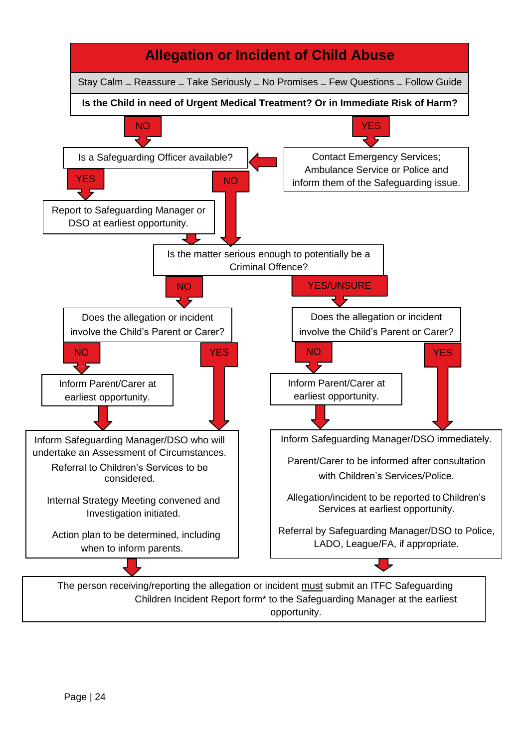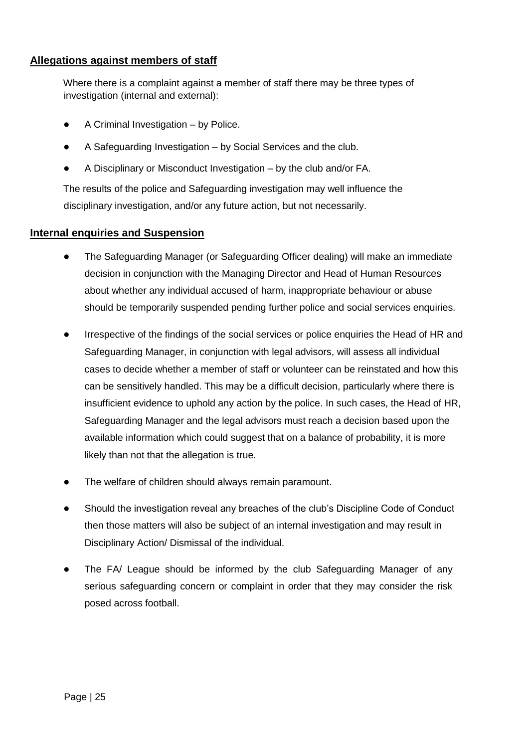#### **Allegations against members of staff**

Where there is a complaint against a member of staff there may be three types of investigation (internal and external):

- A Criminal Investigation by Police.
- A Safeguarding Investigation by Social Services and the club.
- A Disciplinary or Misconduct Investigation by the club and/or FA.

The results of the police and Safeguarding investigation may well influence the disciplinary investigation, and/or any future action, but not necessarily.

## **Internal enquiries and Suspension**

- The Safeguarding Manager (or Safeguarding Officer dealing) will make an immediate decision in conjunction with the Managing Director and Head of Human Resources about whether any individual accused of harm, inappropriate behaviour or abuse should be temporarily suspended pending further police and social services enquiries.
- Irrespective of the findings of the social services or police enquiries the Head of HR and Safeguarding Manager, in conjunction with legal advisors, will assess all individual cases to decide whether a member of staff or volunteer can be reinstated and how this can be sensitively handled. This may be a difficult decision, particularly where there is insufficient evidence to uphold any action by the police. In such cases, the Head of HR, Safeguarding Manager and the legal advisors must reach a decision based upon the available information which could suggest that on a balance of probability, it is more likely than not that the allegation is true.
- The welfare of children should always remain paramount.
- Should the investigation reveal any breaches of the club's Discipline Code of Conduct then those matters will also be subject of an internal investigation and may result in Disciplinary Action/ Dismissal of the individual.
- The FA/ League should be informed by the club Safeguarding Manager of any serious safeguarding concern or complaint in order that they may consider the risk posed across football.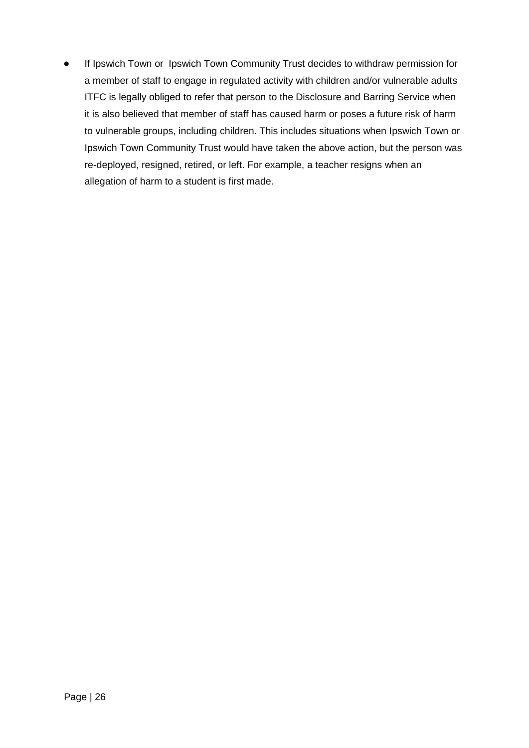If Ipswich Town or Ipswich Town Community Trust decides to withdraw permission for a member of staff to engage in regulated activity with children and/or vulnerable adults ITFC is legally obliged to refer that person to the Disclosure and Barring Service when it is also believed that member of staff has caused harm or poses a future risk of harm to vulnerable groups, including children. This includes situations when Ipswich Town or Ipswich Town Community Trust would have taken the above action, but the person was re-deployed, resigned, retired, or left. For example, a teacher resigns when an allegation of harm to a student is first made.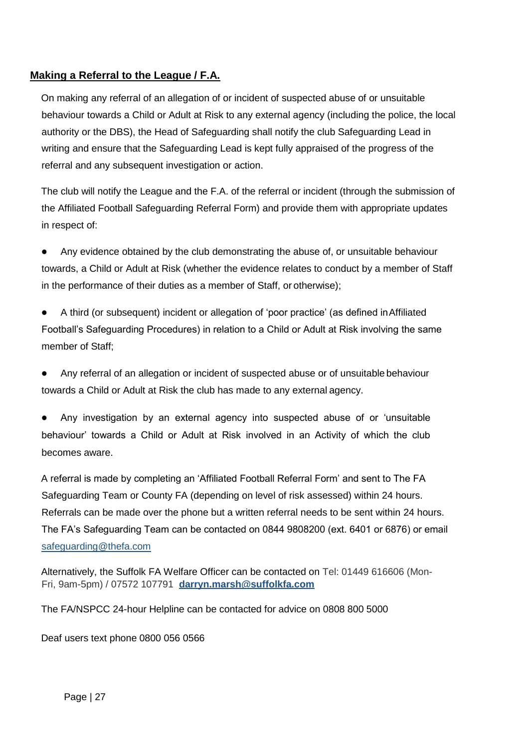## **Making a Referral to the League / F.A.**

On making any referral of an allegation of or incident of suspected abuse of or unsuitable behaviour towards a Child or Adult at Risk to any external agency (including the police, the local authority or the DBS), the Head of Safeguarding shall notify the club Safeguarding Lead in writing and ensure that the Safeguarding Lead is kept fully appraised of the progress of the referral and any subsequent investigation or action.

The club will notify the League and the F.A. of the referral or incident (through the submission of the Affiliated Football Safeguarding Referral Form) and provide them with appropriate updates in respect of:

Any evidence obtained by the club demonstrating the abuse of, or unsuitable behaviour towards, a Child or Adult at Risk (whether the evidence relates to conduct by a member of Staff in the performance of their duties as a member of Staff, or otherwise);

A third (or subsequent) incident or allegation of 'poor practice' (as defined in Affiliated Football's Safeguarding Procedures) in relation to a Child or Adult at Risk involving the same member of Staff;

Any referral of an allegation or incident of suspected abuse or of unsuitable behaviour towards a Child or Adult at Risk the club has made to any external agency.

Any investigation by an external agency into suspected abuse of or 'unsuitable behaviour' towards a Child or Adult at Risk involved in an Activity of which the club becomes aware.

A referral is made by completing an 'Affiliated Football Referral Form' and sent to The FA Safeguarding Team or County FA (depending on level of risk assessed) within 24 hours. Referrals can be made over the phone but a written referral needs to be sent within 24 hours. The FA's Safeguarding Team can be contacted on 0844 9808200 (ext. 6401 or 6876) or email [safeguarding@thefa.com](mailto:safeguarding@thefa.com)

Alternatively, the Suffolk FA Welfare Officer can be contacted on Tel: 01449 616606 (Mon-Fri, 9am-5pm) / 07572 107791 **[darryn.marsh@suffolkfa.com](mailto:darryn.marsh@suffolkfa.com)**

The FA/NSPCC 24-hour Helpline can be contacted for advice on 0808 800 5000

Deaf users text phone 0800 056 0566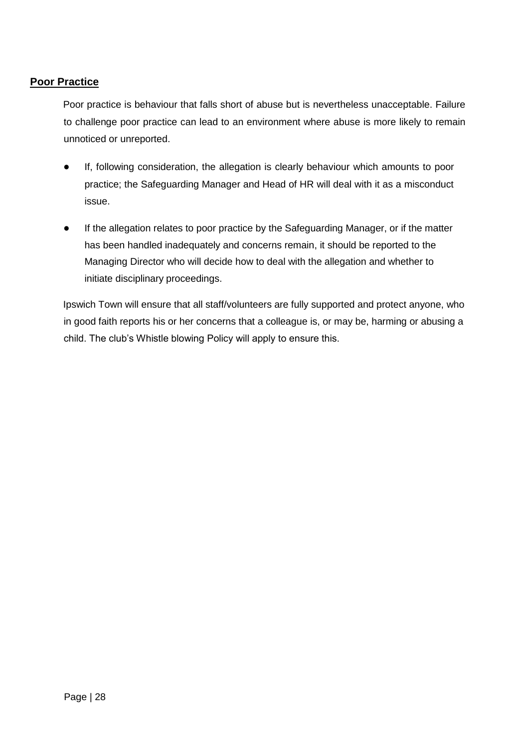#### **Poor Practice**

Poor practice is behaviour that falls short of abuse but is nevertheless unacceptable. Failure to challenge poor practice can lead to an environment where abuse is more likely to remain unnoticed or unreported.

- If, following consideration, the allegation is clearly behaviour which amounts to poor practice; the Safeguarding Manager and Head of HR will deal with it as a misconduct issue.
- If the allegation relates to poor practice by the Safeguarding Manager, or if the matter has been handled inadequately and concerns remain, it should be reported to the Managing Director who will decide how to deal with the allegation and whether to initiate disciplinary proceedings.

Ipswich Town will ensure that all staff/volunteers are fully supported and protect anyone, who in good faith reports his or her concerns that a colleague is, or may be, harming or abusing a child. The club's Whistle blowing Policy will apply to ensure this.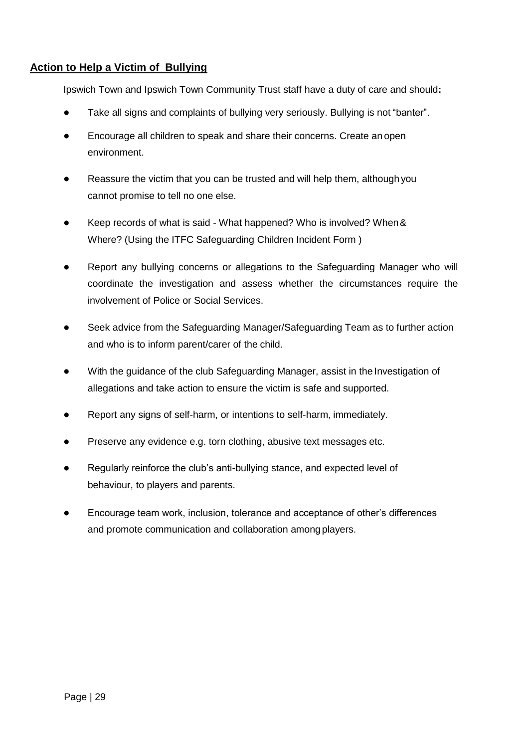## **Action to Help a Victim of Bullying**

Ipswich Town and Ipswich Town Community Trust staff have a duty of care and should**:**

- Take all signs and complaints of bullying very seriously. Bullying is not "banter".
- Encourage all children to speak and share their concerns. Create an open environment.
- Reassure the victim that you can be trusted and will help them, although you cannot promise to tell no one else.
- Keep records of what is said What happened? Who is involved? When & Where? (Using the ITFC Safeguarding Children Incident Form )
- Report any bullying concerns or allegations to the Safeguarding Manager who will coordinate the investigation and assess whether the circumstances require the involvement of Police or Social Services.
- Seek advice from the Safeguarding Manager/Safeguarding Team as to further action and who is to inform parent/carer of the child.
- With the guidance of the club Safeguarding Manager, assist in the Investigation of allegations and take action to ensure the victim is safe and supported.
- Report any signs of self-harm, or intentions to self-harm, immediately.
- Preserve any evidence e.g. torn clothing, abusive text messages etc.
- Regularly reinforce the club's anti-bullying stance, and expected level of behaviour, to players and parents.
- Encourage team work, inclusion, tolerance and acceptance of other's differences and promote communication and collaboration among players.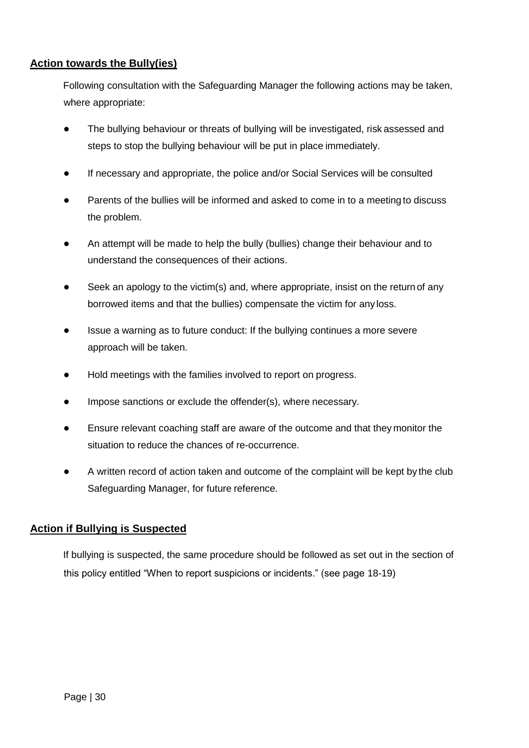## **Action towards the Bully(ies)**

Following consultation with the Safeguarding Manager the following actions may be taken, where appropriate:

- The bullying behaviour or threats of bullying will be investigated, risk assessed and steps to stop the bullying behaviour will be put in place immediately.
- If necessary and appropriate, the police and/or Social Services will be consulted
- Parents of the bullies will be informed and asked to come in to a meeting to discuss the problem.
- An attempt will be made to help the bully (bullies) change their behaviour and to understand the consequences of their actions.
- Seek an apology to the victim(s) and, where appropriate, insist on the return of any borrowed items and that the bullies) compensate the victim for any loss.
- Issue a warning as to future conduct: If the bullying continues a more severe approach will be taken.
- Hold meetings with the families involved to report on progress.
- Impose sanctions or exclude the offender(s), where necessary.
- Ensure relevant coaching staff are aware of the outcome and that they monitor the situation to reduce the chances of re-occurrence.
- A written record of action taken and outcome of the complaint will be kept by the club Safeguarding Manager, for future reference.

#### **Action if Bullying is Suspected**

If bullying is suspected, the same procedure should be followed as set out in the section of this policy entitled "When to report suspicions or incidents." (see page 18-19)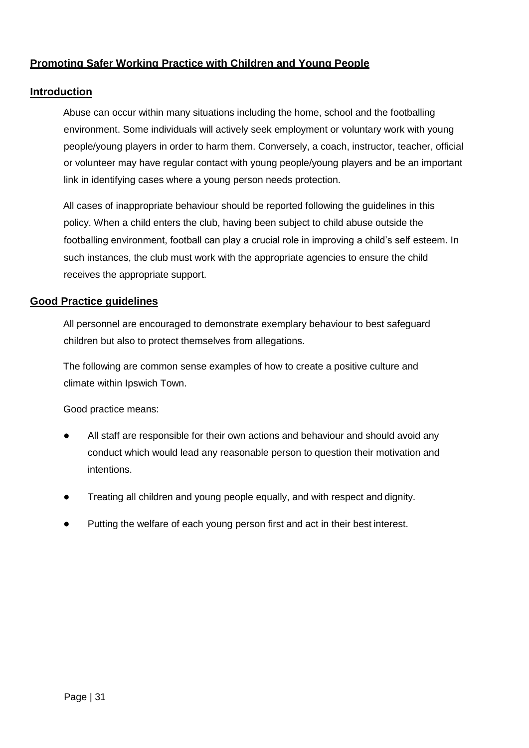## **Promoting Safer Working Practice with Children and Young People**

#### **Introduction**

Abuse can occur within many situations including the home, school and the footballing environment. Some individuals will actively seek employment or voluntary work with young people/young players in order to harm them. Conversely, a coach, instructor, teacher, official or volunteer may have regular contact with young people/young players and be an important link in identifying cases where a young person needs protection.

All cases of inappropriate behaviour should be reported following the guidelines in this policy. When a child enters the club, having been subject to child abuse outside the footballing environment, football can play a crucial role in improving a child's self esteem. In such instances, the club must work with the appropriate agencies to ensure the child receives the appropriate support.

#### **Good Practice guidelines**

All personnel are encouraged to demonstrate exemplary behaviour to best safeguard children but also to protect themselves from allegations.

The following are common sense examples of how to create a positive culture and climate within Ipswich Town.

Good practice means:

- All staff are responsible for their own actions and behaviour and should avoid any conduct which would lead any reasonable person to question their motivation and intentions.
- Treating all children and young people equally, and with respect and dignity.
- Putting the welfare of each young person first and act in their best interest.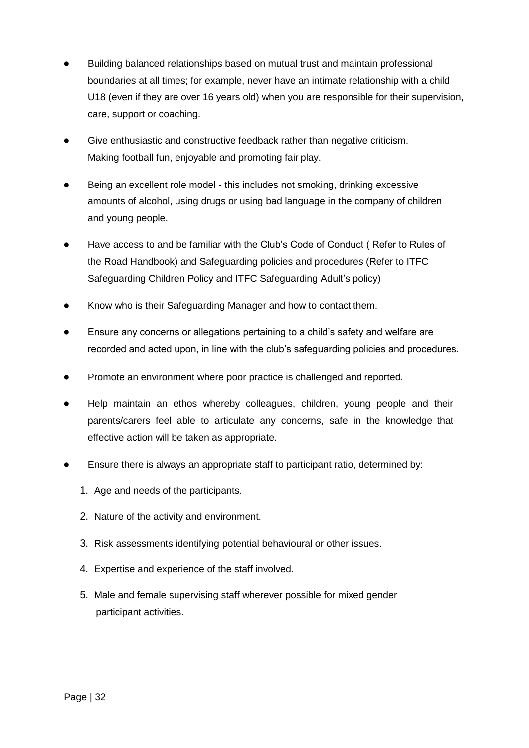- Building balanced relationships based on mutual trust and maintain professional boundaries at all times; for example, never have an intimate relationship with a child U18 (even if they are over 16 years old) when you are responsible for their supervision, care, support or coaching.
- Give enthusiastic and constructive feedback rather than negative criticism. Making football fun, enjoyable and promoting fair play.
- Being an excellent role model this includes not smoking, drinking excessive amounts of alcohol, using drugs or using bad language in the company of children and young people.
- Have access to and be familiar with the Club's Code of Conduct (Refer to Rules of the Road Handbook) and Safeguarding policies and procedures (Refer to ITFC Safeguarding Children Policy and ITFC Safeguarding Adult's policy)
- Know who is their Safeguarding Manager and how to contact them.
- Ensure any concerns or allegations pertaining to a child's safety and welfare are recorded and acted upon, in line with the club's safeguarding policies and procedures.
- Promote an environment where poor practice is challenged and reported.
- Help maintain an ethos whereby colleagues, children, young people and their parents/carers feel able to articulate any concerns, safe in the knowledge that effective action will be taken as appropriate.
- Ensure there is always an appropriate staff to participant ratio, determined by:
	- 1. Age and needs of the participants.
	- 2. Nature of the activity and environment.
	- 3. Risk assessments identifying potential behavioural or other issues.
	- 4. Expertise and experience of the staff involved.
	- 5. Male and female supervising staff wherever possible for mixed gender participant activities.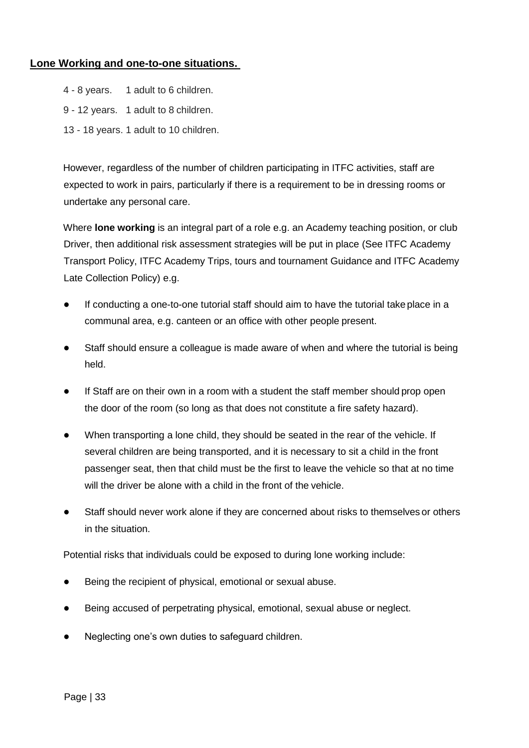#### **Lone Working and one-to-one situations.**

- 4 8 years. 1 adult to 6 children.
- 9 12 years. 1 adult to 8 children.
- 13 18 years. 1 adult to 10 children.

However, regardless of the number of children participating in ITFC activities, staff are expected to work in pairs, particularly if there is a requirement to be in dressing rooms or undertake any personal care.

Where **lone working** is an integral part of a role e.g. an Academy teaching position, or club Driver, then additional risk assessment strategies will be put in place (See ITFC Academy Transport Policy, ITFC Academy Trips, tours and tournament Guidance and ITFC Academy Late Collection Policy) e.g.

- If conducting a one-to-one tutorial staff should aim to have the tutorial take place in a communal area, e.g. canteen or an office with other people present.
- Staff should ensure a colleague is made aware of when and where the tutorial is being held.
- If Staff are on their own in a room with a student the staff member should prop open the door of the room (so long as that does not constitute a fire safety hazard).
- When transporting a lone child, they should be seated in the rear of the vehicle. If several children are being transported, and it is necessary to sit a child in the front passenger seat, then that child must be the first to leave the vehicle so that at no time will the driver be alone with a child in the front of the vehicle.
- Staff should never work alone if they are concerned about risks to themselves or others in the situation.

Potential risks that individuals could be exposed to during lone working include:

- Being the recipient of physical, emotional or sexual abuse.
- Being accused of perpetrating physical, emotional, sexual abuse or neglect.
- Neglecting one's own duties to safeguard children.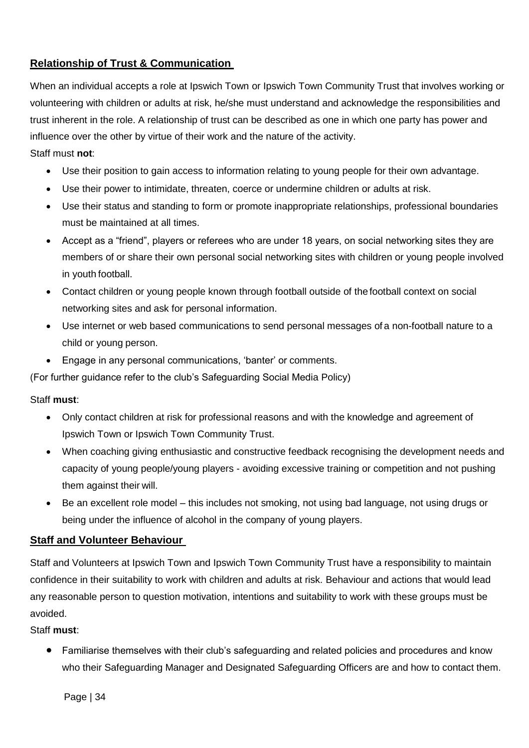## **Relationship of Trust & Communication**

When an individual accepts a role at Ipswich Town or Ipswich Town Community Trust that involves working or volunteering with children or adults at risk, he/she must understand and acknowledge the responsibilities and trust inherent in the role. A relationship of trust can be described as one in which one party has power and influence over the other by virtue of their work and the nature of the activity.

## Staff must **not**:

- Use their position to gain access to information relating to young people for their own advantage.
- Use their power to intimidate, threaten, coerce or undermine children or adults at risk.
- Use their status and standing to form or promote inappropriate relationships, professional boundaries must be maintained at all times.
- Accept as a "friend", players or referees who are under 18 years, on social networking sites they are members of or share their own personal social networking sites with children or young people involved in youth football.
- Contact children or young people known through football outside of the football context on social networking sites and ask for personal information.
- Use internet or web based communications to send personal messages of a non-football nature to a child or young person.
- Engage in any personal communications, 'banter' or comments.

(For further guidance refer to the club's Safeguarding Social Media Policy)

#### Staff **must**:

- Only contact children at risk for professional reasons and with the knowledge and agreement of Ipswich Town or Ipswich Town Community Trust.
- When coaching giving enthusiastic and constructive feedback recognising the development needs and capacity of young people/young players - avoiding excessive training or competition and not pushing them against their will.
- Be an excellent role model this includes not smoking, not using bad language, not using drugs or being under the influence of alcohol in the company of young players.

## **Staff and Volunteer Behaviour**

Staff and Volunteers at Ipswich Town and Ipswich Town Community Trust have a responsibility to maintain confidence in their suitability to work with children and adults at risk. Behaviour and actions that would lead any reasonable person to question motivation, intentions and suitability to work with these groups must be avoided.

#### Staff **must**:

 Familiarise themselves with their club's safeguarding and related policies and procedures and know who their Safeguarding Manager and Designated Safeguarding Officers are and how to contact them.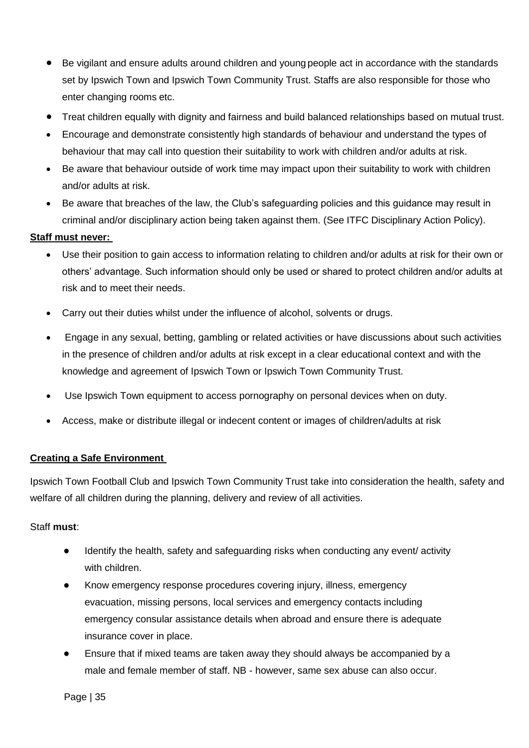- Be vigilant and ensure adults around children and young people act in accordance with the standards set by Ipswich Town and Ipswich Town Community Trust. Staffs are also responsible for those who enter changing rooms etc.
- Treat children equally with dignity and fairness and build balanced relationships based on mutual trust.
- Encourage and demonstrate consistently high standards of behaviour and understand the types of behaviour that may call into question their suitability to work with children and/or adults at risk.
- Be aware that behaviour outside of work time may impact upon their suitability to work with children and/or adults at risk.
- Be aware that breaches of the law, the Club's safeguarding policies and this guidance may result in criminal and/or disciplinary action being taken against them. (See ITFC Disciplinary Action Policy).

## **Staff must never:**

- Use their position to gain access to information relating to children and/or adults at risk for their own or others' advantage. Such information should only be used or shared to protect children and/or adults at risk and to meet their needs.
- Carry out their duties whilst under the influence of alcohol, solvents or drugs.
- Engage in any sexual, betting, gambling or related activities or have discussions about such activities in the presence of children and/or adults at risk except in a clear educational context and with the knowledge and agreement of Ipswich Town or Ipswich Town Community Trust.
- Use Ipswich Town equipment to access pornography on personal devices when on duty.
- Access, make or distribute illegal or indecent content or images of children/adults at risk

#### **Creating a Safe Environment**

Ipswich Town Football Club and Ipswich Town Community Trust take into consideration the health, safety and welfare of all children during the planning, delivery and review of all activities.

#### Staff **must**:

- Identify the health, safety and safeguarding risks when conducting any event/ activity with children.
- Know emergency response procedures covering injury, illness, emergency evacuation, missing persons, local services and emergency contacts including emergency consular assistance details when abroad and ensure there is adequate insurance cover in place.
- Ensure that if mixed teams are taken away they should always be accompanied by a male and female member of staff. NB - however, same sex abuse can also occur.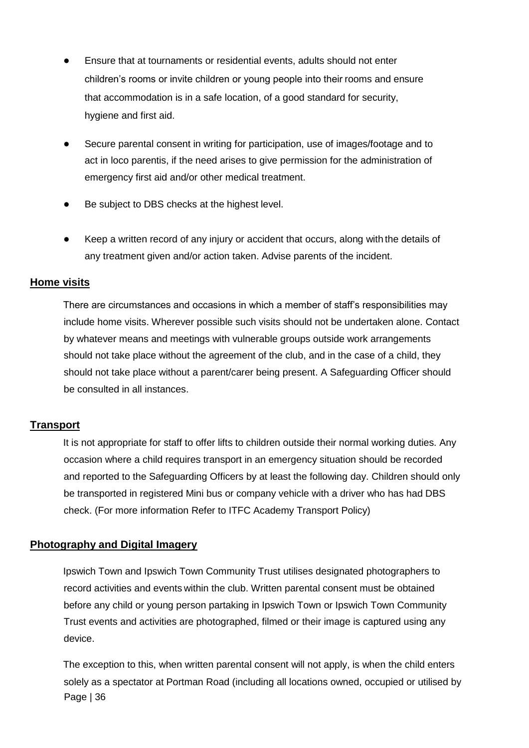- Ensure that at tournaments or residential events, adults should not enter children's rooms or invite children or young people into their rooms and ensure that accommodation is in a safe location, of a good standard for security, hygiene and first aid.
- Secure parental consent in writing for participation, use of images/footage and to act in loco parentis, if the need arises to give permission for the administration of emergency first aid and/or other medical treatment.
- Be subject to DBS checks at the highest level.
- Keep a written record of any injury or accident that occurs, along with the details of any treatment given and/or action taken. Advise parents of the incident.

#### **Home visits**

There are circumstances and occasions in which a member of staff's responsibilities may include home visits. Wherever possible such visits should not be undertaken alone. Contact by whatever means and meetings with vulnerable groups outside work arrangements should not take place without the agreement of the club, and in the case of a child, they should not take place without a parent/carer being present. A Safeguarding Officer should be consulted in all instances.

#### **Transport**

It is not appropriate for staff to offer lifts to children outside their normal working duties. Any occasion where a child requires transport in an emergency situation should be recorded and reported to the Safeguarding Officers by at least the following day. Children should only be transported in registered Mini bus or company vehicle with a driver who has had DBS check. (For more information Refer to ITFC Academy Transport Policy)

#### **Photography and Digital Imagery**

Ipswich Town and Ipswich Town Community Trust utilises designated photographers to record activities and events within the club. Written parental consent must be obtained before any child or young person partaking in Ipswich Town or Ipswich Town Community Trust events and activities are photographed, filmed or their image is captured using any device.

Page | 36 The exception to this, when written parental consent will not apply, is when the child enters solely as a spectator at Portman Road (including all locations owned, occupied or utilised by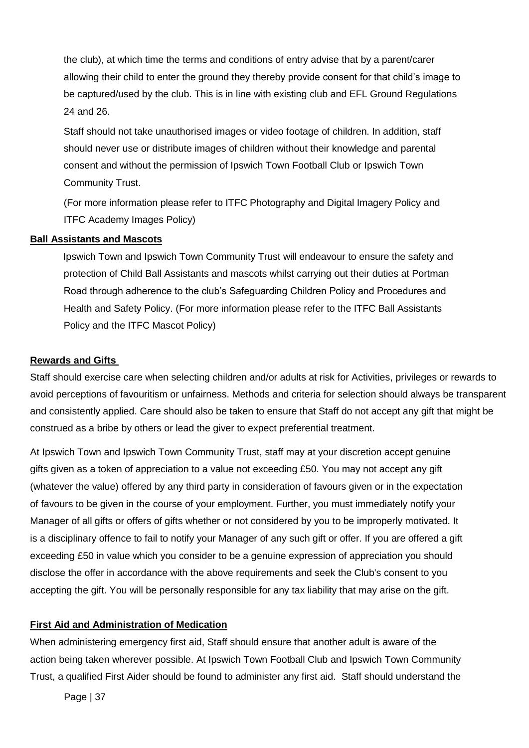the club), at which time the terms and conditions of entry advise that by a parent/carer allowing their child to enter the ground they thereby provide consent for that child's image to be captured/used by the club. This is in line with existing club and EFL Ground Regulations 24 and 26.

Staff should not take unauthorised images or video footage of children. In addition, staff should never use or distribute images of children without their knowledge and parental consent and without the permission of Ipswich Town Football Club or Ipswich Town Community Trust.

(For more information please refer to ITFC Photography and Digital Imagery Policy and ITFC Academy Images Policy)

#### **Ball Assistants and Mascots**

Ipswich Town and Ipswich Town Community Trust will endeavour to ensure the safety and protection of Child Ball Assistants and mascots whilst carrying out their duties at Portman Road through adherence to the club's Safeguarding Children Policy and Procedures and Health and Safety Policy. (For more information please refer to the ITFC Ball Assistants Policy and the ITFC Mascot Policy)

#### **Rewards and Gifts**

Staff should exercise care when selecting children and/or adults at risk for Activities, privileges or rewards to avoid perceptions of favouritism or unfairness. Methods and criteria for selection should always be transparent and consistently applied. Care should also be taken to ensure that Staff do not accept any gift that might be construed as a bribe by others or lead the giver to expect preferential treatment.

At Ipswich Town and Ipswich Town Community Trust, staff may at your discretion accept genuine gifts given as a token of appreciation to a value not exceeding £50. You may not accept any gift (whatever the value) offered by any third party in consideration of favours given or in the expectation of favours to be given in the course of your employment. Further, you must immediately notify your Manager of all gifts or offers of gifts whether or not considered by you to be improperly motivated. It is a disciplinary offence to fail to notify your Manager of any such gift or offer. If you are offered a gift exceeding £50 in value which you consider to be a genuine expression of appreciation you should disclose the offer in accordance with the above requirements and seek the Club's consent to you accepting the gift. You will be personally responsible for any tax liability that may arise on the gift.

#### **First Aid and Administration of Medication**

When administering emergency first aid, Staff should ensure that another adult is aware of the action being taken wherever possible. At Ipswich Town Football Club and Ipswich Town Community Trust, a qualified First Aider should be found to administer any first aid. Staff should understand the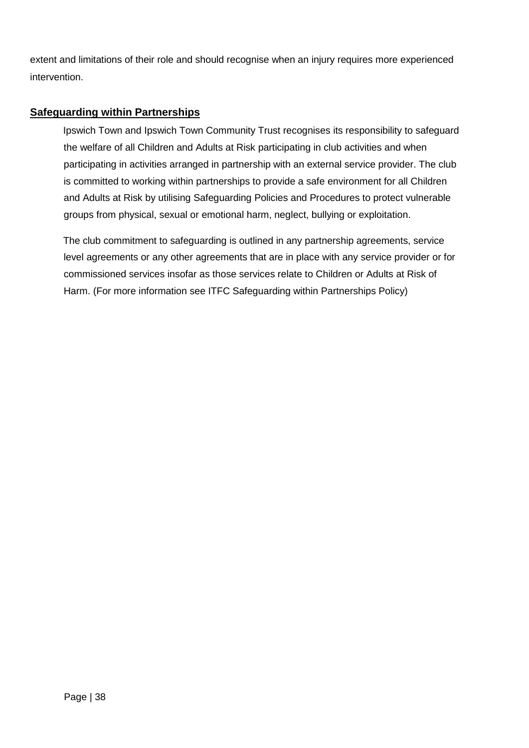extent and limitations of their role and should recognise when an injury requires more experienced intervention.

## **Safeguarding within Partnerships**

Ipswich Town and Ipswich Town Community Trust recognises its responsibility to safeguard the welfare of all Children and Adults at Risk participating in club activities and when participating in activities arranged in partnership with an external service provider. The club is committed to working within partnerships to provide a safe environment for all Children and Adults at Risk by utilising Safeguarding Policies and Procedures to protect vulnerable groups from physical, sexual or emotional harm, neglect, bullying or exploitation.

The club commitment to safeguarding is outlined in any partnership agreements, service level agreements or any other agreements that are in place with any service provider or for commissioned services insofar as those services relate to Children or Adults at Risk of Harm. (For more information see ITFC Safeguarding within Partnerships Policy)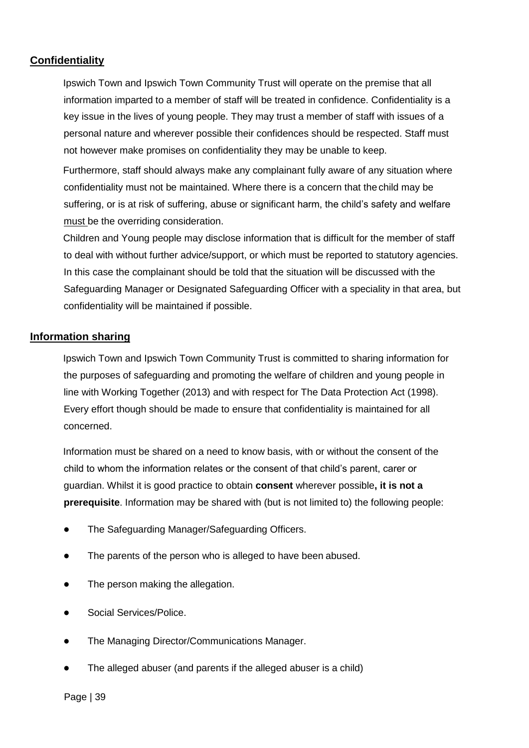## **Confidentiality**

Ipswich Town and Ipswich Town Community Trust will operate on the premise that all information imparted to a member of staff will be treated in confidence. Confidentiality is a key issue in the lives of young people. They may trust a member of staff with issues of a personal nature and wherever possible their confidences should be respected. Staff must not however make promises on confidentiality they may be unable to keep.

Furthermore, staff should always make any complainant fully aware of any situation where confidentiality must not be maintained. Where there is a concern that the child may be suffering, or is at risk of suffering, abuse or significant harm, the child's safety and welfare must be the overriding consideration.

Children and Young people may disclose information that is difficult for the member of staff to deal with without further advice/support, or which must be reported to statutory agencies. In this case the complainant should be told that the situation will be discussed with the Safeguarding Manager or Designated Safeguarding Officer with a speciality in that area, but confidentiality will be maintained if possible.

#### **Information sharing**

Ipswich Town and Ipswich Town Community Trust is committed to sharing information for the purposes of safeguarding and promoting the welfare of children and young people in line with Working Together (2013) and with respect for The Data Protection Act (1998). Every effort though should be made to ensure that confidentiality is maintained for all concerned.

Information must be shared on a need to know basis, with or without the consent of the child to whom the information relates or the consent of that child's parent, carer or guardian. Whilst it is good practice to obtain **consent** wherever possible**, it is not a prerequisite**. Information may be shared with (but is not limited to) the following people:

- The Safeguarding Manager/Safeguarding Officers.
- The parents of the person who is alleged to have been abused.
- The person making the allegation.
- Social Services/Police.
- The Managing Director/Communications Manager.
- The alleged abuser (and parents if the alleged abuser is a child)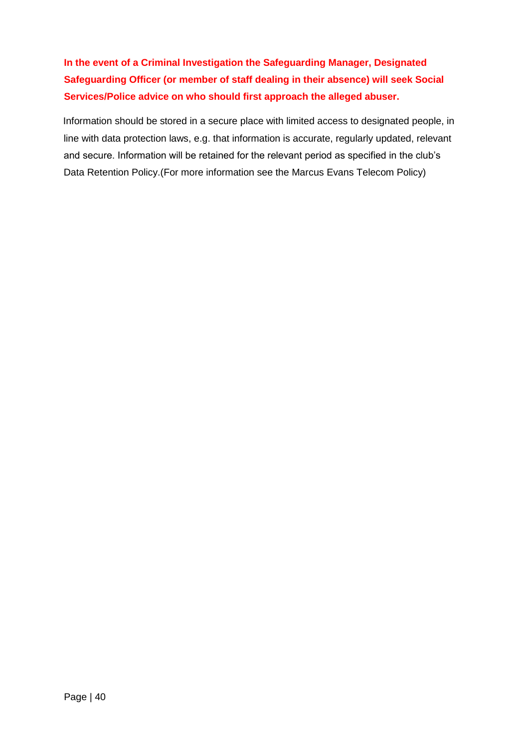**In the event of a Criminal Investigation the Safeguarding Manager, Designated Safeguarding Officer (or member of staff dealing in their absence) will seek Social Services/Police advice on who should first approach the alleged abuser.**

Information should be stored in a secure place with limited access to designated people, in line with data protection laws, e.g. that information is accurate, regularly updated, relevant and secure. Information will be retained for the relevant period as specified in the club's Data Retention Policy.(For more information see the Marcus Evans Telecom Policy)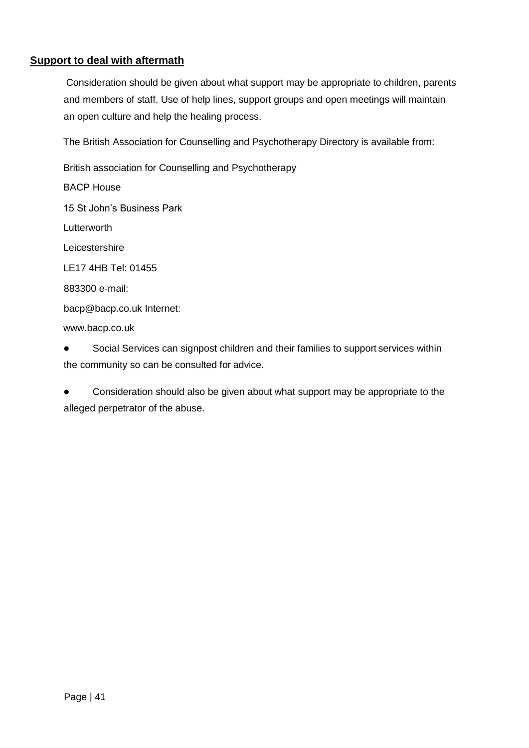## **Support to deal with aftermath**

Consideration should be given about what support may be appropriate to children, parents and members of staff. Use of help lines, support groups and open meetings will maintain an open culture and help the healing process.

The British Association for Counselling and Psychotherapy Directory is available from:

British association for Counselling and Psychotherapy BACP House 15 St John's Business Park **Lutterworth Leicestershire** LE17 4HB Tel: 01455 883300 e-mail: [bacp@bacp.co.uk](mailto:bacp@bacp.co.uk) Internet: [www.bacp.co.uk](http://www.bacp.co.uk/)

● Social Services can signpost children and their families to support services within the community so can be consulted for advice.

Consideration should also be given about what support may be appropriate to the alleged perpetrator of the abuse.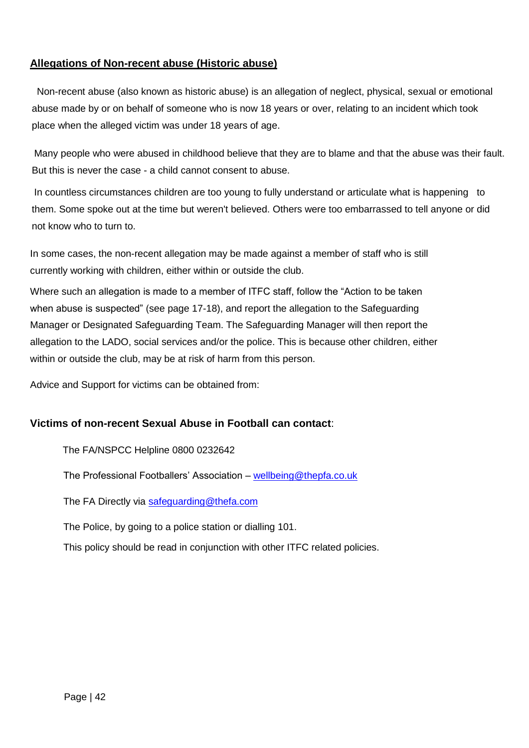## **Allegations of Non-recent abuse (Historic abuse)**

 Non-recent abuse (also known as historic abuse) is an allegation of neglect, physical, sexual or emotional abuse made by or on behalf of someone who is now 18 years or over, relating to an incident which took place when the alleged victim was under 18 years of age.

Many people who were abused in childhood believe that they are to blame and that the abuse was their fault. But this is never the case - a child cannot consent to abuse.

In countless circumstances children are too young to fully understand or articulate what is happening to them. Some spoke out at the time but weren't believed. Others were too embarrassed to tell anyone or did not know who to turn to.

In some cases, the non-recent allegation may be made against a member of staff who is still currently working with children, either within or outside the club.

Where such an allegation is made to a member of ITFC staff, follow the "Action to be taken when abuse is suspected" (see page 17-18), and report the allegation to the Safeguarding Manager or Designated Safeguarding Team. The Safeguarding Manager will then report the allegation to the LADO, social services and/or the police. This is because other children, either within or outside the club, may be at risk of harm from this person.

Advice and Support for victims can be obtained from:

#### **Victims of non-recent Sexual Abuse in Football can contact**:

The FA/NSPCC Helpline 0800 0232642

The Professional Footballers' Association – [wellbeing@thepfa.co.uk](mailto:wellbeing@thepfa.co.uk)

The FA Directly via [safeguarding@thefa.com](mailto:safeguarding@thefa.com)

The Police, by going to a police station or dialling 101.

This policy should be read in conjunction with other ITFC related policies.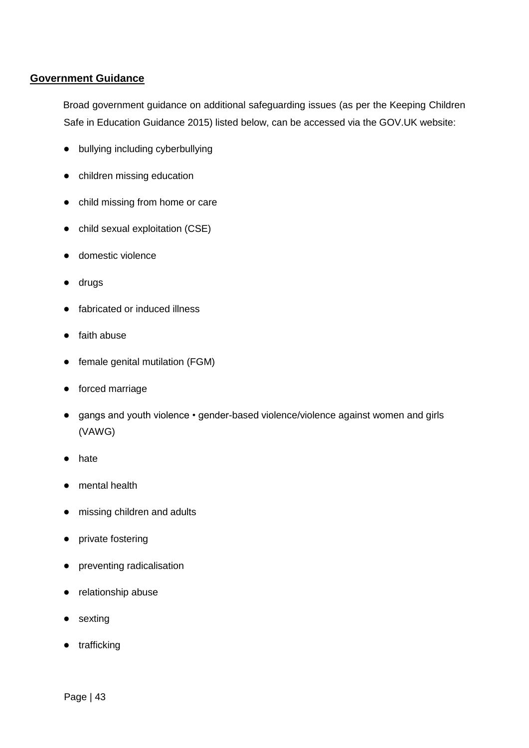#### **Government Guidance**

Broad government guidance on additional safeguarding issues (as per the Keeping Children Safe in Education Guidance 2015) listed below, can be accessed via the GOV.UK website:

- bullying including cyberbullying
- children missing education
- child missing from home or care
- child sexual exploitation (CSE)
- domestic violence
- drugs
- fabricated or induced illness
- faith abuse
- female genital mutilation (FGM)
- forced marriage
- gangs and youth violence gender-based violence/violence against women and girls (VAWG)
- hate
- mental health
- missing children and adults
- private fostering
- preventing radicalisation
- relationship abuse
- sexting
- trafficking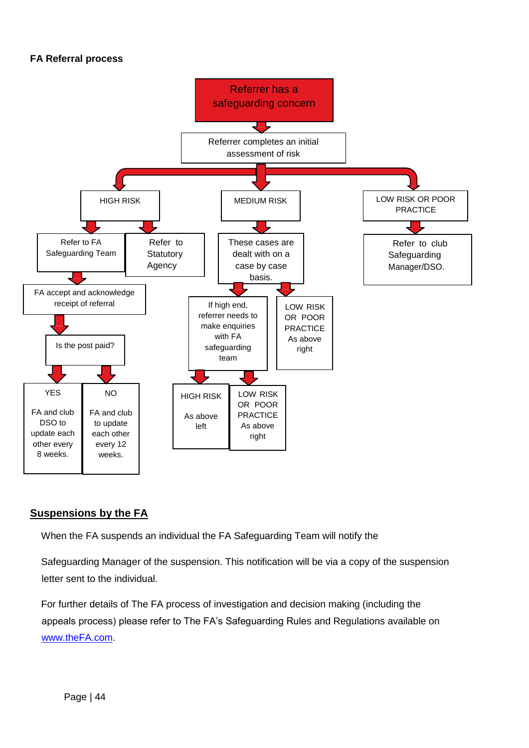#### **FA Referral process**



## **Suspensions by the FA**

When the FA suspends an individual the FA Safeguarding Team will notify the

Safeguarding Manager of the suspension. This notification will be via a copy of the suspension letter sent to the individual.

For further details of The FA process of investigation and decision making (including the appeals process) please refer to The FA's Safeguarding Rules and Regulations available on [www.theFA.com.](http://www.thefa.com/)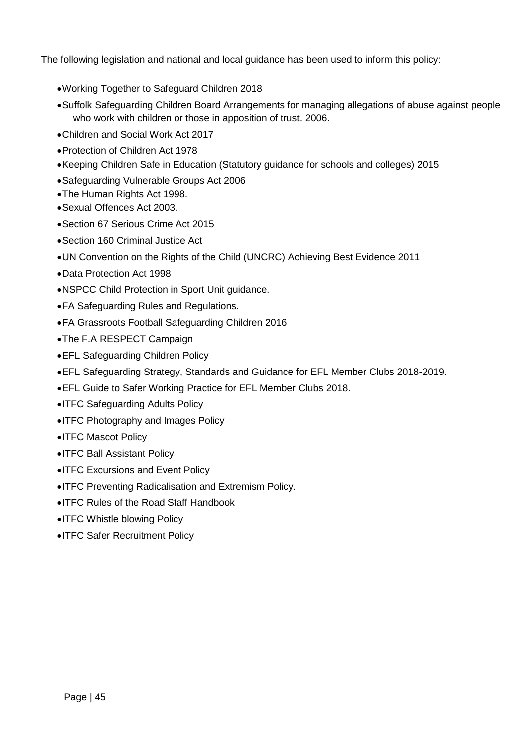The following legislation and national and local guidance has been used to inform this policy:

- Working Together to Safeguard Children 2018
- Suffolk Safeguarding Children Board Arrangements for managing allegations of abuse against people who work with children or those in apposition of trust. 2006.
- Children and Social Work Act 2017
- Protection of Children Act 1978
- Keeping Children Safe in Education (Statutory guidance for schools and colleges) 2015
- Safeguarding Vulnerable Groups Act 2006
- The Human Rights Act 1998.
- Sexual Offences Act 2003.
- Section 67 Serious Crime Act 2015
- Section 160 Criminal Justice Act
- UN Convention on the Rights of the Child (UNCRC) Achieving Best Evidence 2011
- Data Protection Act 1998
- NSPCC Child Protection in Sport Unit guidance.
- FA Safeguarding Rules and Regulations.
- FA Grassroots Football Safeguarding Children 2016
- The F.A RESPECT Campaign
- EFL Safeguarding Children Policy
- EFL Safeguarding Strategy, Standards and Guidance for EFL Member Clubs 2018-2019.
- EFL Guide to Safer Working Practice for EFL Member Clubs 2018.
- ITFC Safeguarding Adults Policy
- **ITFC Photography and Images Policy**
- ITFC Mascot Policy
- ITFC Ball Assistant Policy
- **ITFC Excursions and Event Policy**
- ITFC Preventing Radicalisation and Extremism Policy.
- ITFC Rules of the Road Staff Handbook
- ITFC Whistle blowing Policy
- ITFC Safer Recruitment Policy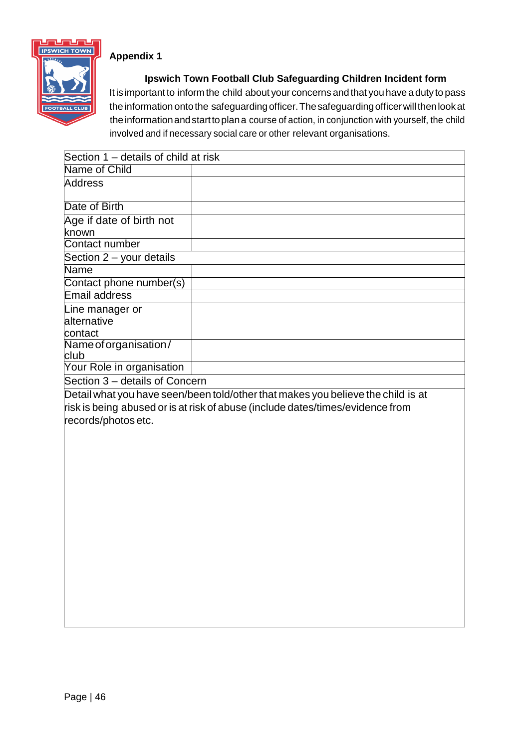

## **Appendix 1**

**Ipswich Town Football Club Safeguarding Children Incident form**

Itis important to inform the child about your concerns and that you have a duty to pass the information onto the safeguarding officer. The safeguarding officer will then look at the information and start to plan a course of action, in conjunction with yourself, the child involved and if necessary social care or other relevant organisations.

| Section 1 – details of child at risk |                                                                                  |  |  |  |
|--------------------------------------|----------------------------------------------------------------------------------|--|--|--|
| Name of Child                        |                                                                                  |  |  |  |
| <b>Address</b>                       |                                                                                  |  |  |  |
|                                      |                                                                                  |  |  |  |
| Date of Birth                        |                                                                                  |  |  |  |
| Age if date of birth not             |                                                                                  |  |  |  |
| known                                |                                                                                  |  |  |  |
| <b>Contact number</b>                |                                                                                  |  |  |  |
| Section 2 - your details             |                                                                                  |  |  |  |
| <b>Name</b>                          |                                                                                  |  |  |  |
| Contact phone number(s)              |                                                                                  |  |  |  |
| <b>Email address</b>                 |                                                                                  |  |  |  |
| Line manager or                      |                                                                                  |  |  |  |
| alternative                          |                                                                                  |  |  |  |
| contact                              |                                                                                  |  |  |  |
| Name of organisation/                |                                                                                  |  |  |  |
| club                                 |                                                                                  |  |  |  |
| Your Role in organisation            |                                                                                  |  |  |  |
| Section 3 - details of Concern       |                                                                                  |  |  |  |
|                                      | Detail what you have seen/been told/other that makes you believe the child is at |  |  |  |
|                                      | risk is being abused or is at risk of abuse (include dates/times/evidence from   |  |  |  |
| records/photos etc.                  |                                                                                  |  |  |  |
|                                      |                                                                                  |  |  |  |
|                                      |                                                                                  |  |  |  |
|                                      |                                                                                  |  |  |  |
|                                      |                                                                                  |  |  |  |
|                                      |                                                                                  |  |  |  |
|                                      |                                                                                  |  |  |  |
|                                      |                                                                                  |  |  |  |
|                                      |                                                                                  |  |  |  |
|                                      |                                                                                  |  |  |  |
|                                      |                                                                                  |  |  |  |
|                                      |                                                                                  |  |  |  |
|                                      |                                                                                  |  |  |  |
|                                      |                                                                                  |  |  |  |
|                                      |                                                                                  |  |  |  |
|                                      |                                                                                  |  |  |  |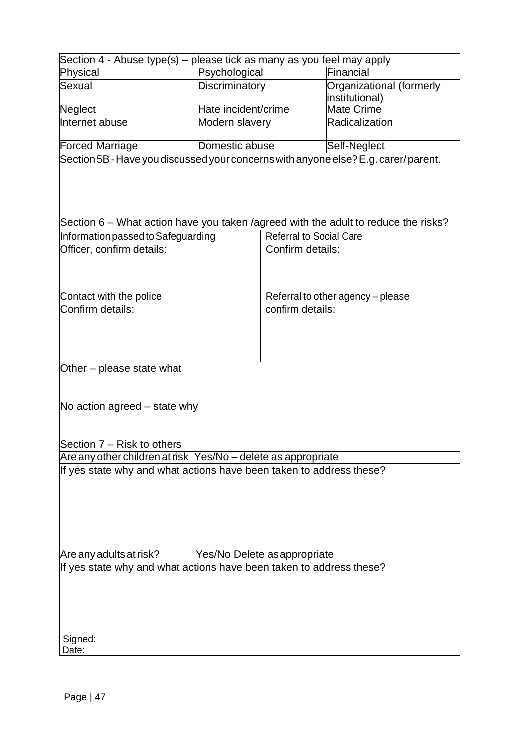| Section 4 - Abuse type(s) – please tick as many as you feel may apply              |                     |                                   |                                            |  |  |  |
|------------------------------------------------------------------------------------|---------------------|-----------------------------------|--------------------------------------------|--|--|--|
| Physical                                                                           | Psychological       |                                   | Financial                                  |  |  |  |
| Sexual                                                                             | Discriminatory      |                                   | Organizational (formerly<br>institutional) |  |  |  |
| Neglect                                                                            | Hate incident/crime |                                   | <b>Mate Crime</b>                          |  |  |  |
| Internet abuse                                                                     | Modern slavery      |                                   | Radicalization                             |  |  |  |
| <b>Forced Marriage</b>                                                             | Domestic abuse      |                                   | Self-Neglect                               |  |  |  |
| Section 5B - Have you discussed your concerns with anyone else? E.g. carer/parent. |                     |                                   |                                            |  |  |  |
|                                                                                    |                     |                                   |                                            |  |  |  |
| Section 6 - What action have you taken /agreed with the adult to reduce the risks? |                     |                                   |                                            |  |  |  |
| Information passed to Safeguarding                                                 |                     | <b>Referral to Social Care</b>    |                                            |  |  |  |
| Officer, confirm details:                                                          |                     | Confirm details:                  |                                            |  |  |  |
| Contact with the police                                                            |                     | Referral to other agency - please |                                            |  |  |  |
| Confirm details:                                                                   |                     | confirm details:                  |                                            |  |  |  |
|                                                                                    |                     |                                   |                                            |  |  |  |
| Other – please state what                                                          |                     |                                   |                                            |  |  |  |
| No action agreed – state why                                                       |                     |                                   |                                            |  |  |  |
| Section 7 - Risk to others                                                         |                     |                                   |                                            |  |  |  |
| Are any other children at risk Yes/No - delete as appropriate                      |                     |                                   |                                            |  |  |  |
| If yes state why and what actions have been taken to address these?                |                     |                                   |                                            |  |  |  |
| Are any adults at risk?<br>Yes/No Delete as appropriate                            |                     |                                   |                                            |  |  |  |
| If yes state why and what actions have been taken to address these?                |                     |                                   |                                            |  |  |  |
| Signed:                                                                            |                     |                                   |                                            |  |  |  |
| Date:                                                                              |                     |                                   |                                            |  |  |  |